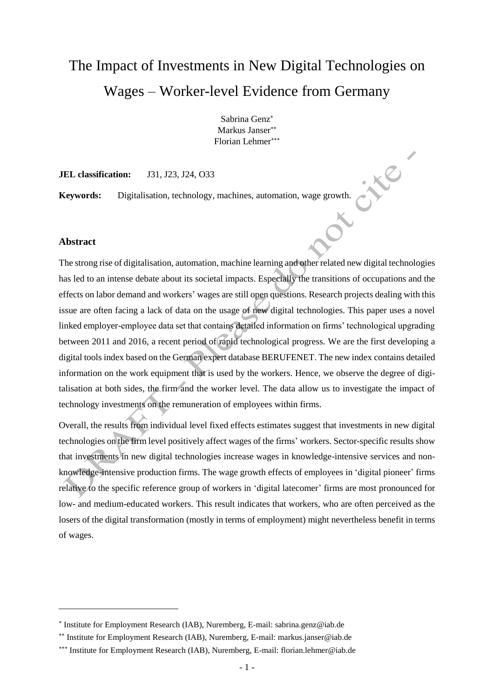# The Impact of Investments in New Digital Technologies on Wages – Worker-level Evidence from Germany

Sabrina Genz Markus Janser Florian Lehmer

**. Xe** 

ox

**JEL classification:** J31, J23, J24, O33

**Keywords:** Digitalisation, technology, machines, automation, wage growth.

#### **Abstract**

l

The strong rise of digitalisation, automation, machine learning and other related new digital technologies has led to an intense debate about its societal impacts. Especially the transitions of occupations and the effects on labor demand and workers' wages are still open questions. Research projects dealing with this issue are often facing a lack of data on the usage of new digital technologies. This paper uses a novel linked employer-employee data set that contains detailed information on firms' technological upgrading between 2011 and 2016, a recent period of rapid technological progress. We are the first developing a digital tools index based on the German expert database BERUFENET. The new index contains detailed information on the work equipment that is used by the workers. Hence, we observe the degree of digitalisation at both sides, the firm and the worker level. The data allow us to investigate the impact of technology investments on the remuneration of employees within firms.

Overall, the results from individual level fixed effects estimates suggest that investments in new digital technologies on the firm level positively affect wages of the firms' workers. Sector-specific results show that investments in new digital technologies increase wages in knowledge-intensive services and nonknowledge-intensive production firms. The wage growth effects of employees in 'digital pioneer' firms relative to the specific reference group of workers in 'digital latecomer' firms are most pronounced for low- and medium-educated workers. This result indicates that workers, who are often perceived as the losers of the digital transformation (mostly in terms of employment) might nevertheless benefit in terms of wages.

<sup>\*</sup> Institute for Employment Research (IAB), Nuremberg, E-mail: sabrina.genz@iab.de

<sup>\*\*</sup> Institute for Employment Research (IAB), Nuremberg, E-mail: markus.janser@iab.de

<sup>\*\*\*</sup> Institute for Employment Research (IAB), Nuremberg, E-mail: florian.lehmer@iab.de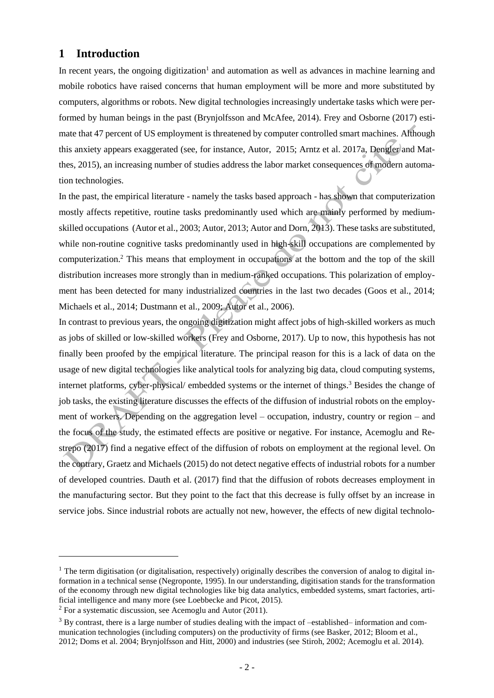# **1 Introduction**

In recent years, the ongoing digitization<sup>1</sup> and automation as well as advances in machine learning and mobile robotics have raised concerns that human employment will be more and more substituted by computers, algorithms or robots. New digital technologies increasingly undertake tasks which were performed by human beings in the past (Brynjolfsson and McAfee, 2014). Frey and Osborne (2017) estimate that 47 percent of US employment is threatened by computer controlled smart machines. Although this anxiety appears exaggerated (see, for instance, Autor, 2015; Arntz et al. 2017a, Dengler and Matthes, 2015), an increasing number of studies address the labor market consequences of modern automation technologies.

In the past, the empirical literature - namely the tasks based approach - has shown that computerization mostly affects repetitive, routine tasks predominantly used which are mainly performed by mediumskilled occupations (Autor et al., 2003; Autor, 2013; Autor and Dorn, 2013). These tasks are substituted, while non-routine cognitive tasks predominantly used in high-skill occupations are complemented by computerization.<sup>2</sup> This means that employment in occupations at the bottom and the top of the skill distribution increases more strongly than in medium-ranked occupations. This polarization of employment has been detected for many industrialized countries in the last two decades (Goos et al., 2014; Michaels et al., 2014; Dustmann et al., 2009; Autor et al., 2006).

In contrast to previous years, the ongoing digitization might affect jobs of high-skilled workers as much as jobs of skilled or low-skilled workers (Frey and Osborne, 2017). Up to now, this hypothesis has not finally been proofed by the empirical literature. The principal reason for this is a lack of data on the usage of new digital technologies like analytical tools for analyzing big data, cloud computing systems, internet platforms, cyber-physical/ embedded systems or the internet of things.<sup>3</sup> Besides the change of job tasks, the existing literature discusses the effects of the diffusion of industrial robots on the employment of workers. Depending on the aggregation level – occupation, industry, country or region – and the focus of the study, the estimated effects are positive or negative. For instance, Acemoglu and Restrepo (2017) find a negative effect of the diffusion of robots on employment at the regional level. On the contrary, Graetz and Michaels (2015) do not detect negative effects of industrial robots for a number of developed countries. Dauth et al. (2017) find that the diffusion of robots decreases employment in the manufacturing sector. But they point to the fact that this decrease is fully offset by an increase in service jobs. Since industrial robots are actually not new, however, the effects of new digital technolo-

 $\overline{a}$ 

<sup>&</sup>lt;sup>1</sup> The term digitisation (or digitalisation, respectively) originally describes the conversion of analog to digital information in a technical sense (Negroponte, 1995). In our understanding, digitisation stands for the transformation of the economy through new digital technologies like big data analytics, embedded systems, smart factories, artificial intelligence and many more (see Loebbecke and Picot, 2015).

 $2$  For a systematic discussion, see Acemoglu and Autor (2011).

<sup>&</sup>lt;sup>3</sup> By contrast, there is a large number of studies dealing with the impact of –established– information and communication technologies (including computers) on the productivity of firms (see Basker, 2012; Bloom et al., 2012; Doms et al. 2004; Brynjolfsson and Hitt, 2000) and industries (see Stiroh, 2002; Acemoglu et al. 2014).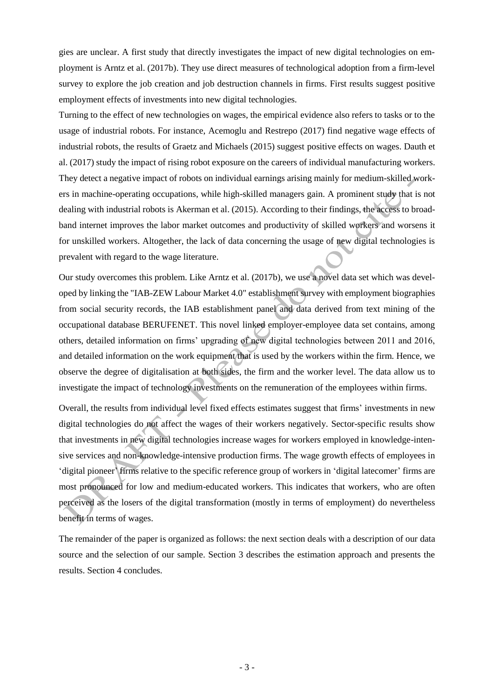gies are unclear. A first study that directly investigates the impact of new digital technologies on employment is Arntz et al. (2017b). They use direct measures of technological adoption from a firm-level survey to explore the job creation and job destruction channels in firms. First results suggest positive employment effects of investments into new digital technologies.

Turning to the effect of new technologies on wages, the empirical evidence also refers to tasks or to the usage of industrial robots. For instance, Acemoglu and Restrepo (2017) find negative wage effects of industrial robots, the results of Graetz and Michaels (2015) suggest positive effects on wages. Dauth et al. (2017) study the impact of rising robot exposure on the careers of individual manufacturing workers. They detect a negative impact of robots on individual earnings arising mainly for medium-skilled workers in machine-operating occupations, while high-skilled managers gain. A prominent study that is not dealing with industrial robots is Akerman et al. (2015). According to their findings, the access to broadband internet improves the labor market outcomes and productivity of skilled workers and worsens it for unskilled workers. Altogether, the lack of data concerning the usage of new digital technologies is prevalent with regard to the wage literature.

Our study overcomes this problem. Like Arntz et al. (2017b), we use a novel data set which was developed by linking the "IAB-ZEW Labour Market 4.0" establishment survey with employment biographies from social security records, the IAB establishment panel and data derived from text mining of the occupational database BERUFENET. This novel linked employer-employee data set contains, among others, detailed information on firms' upgrading of new digital technologies between 2011 and 2016, and detailed information on the work equipment that is used by the workers within the firm. Hence, we observe the degree of digitalisation at both sides, the firm and the worker level. The data allow us to investigate the impact of technology investments on the remuneration of the employees within firms.

Overall, the results from individual level fixed effects estimates suggest that firms' investments in new digital technologies do not affect the wages of their workers negatively. Sector-specific results show that investments in new digital technologies increase wages for workers employed in knowledge-intensive services and non-knowledge-intensive production firms. The wage growth effects of employees in 'digital pioneer' firms relative to the specific reference group of workers in 'digital latecomer' firms are most pronounced for low and medium-educated workers. This indicates that workers, who are often perceived as the losers of the digital transformation (mostly in terms of employment) do nevertheless benefit in terms of wages.

The remainder of the paper is organized as follows: the next section deals with a description of our data source and the selection of our sample. Section 3 describes the estimation approach and presents the results. Section 4 concludes.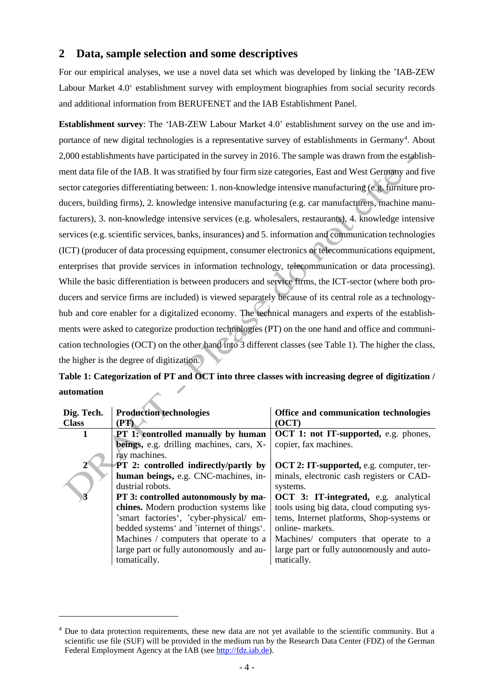# **2 Data, sample selection and some descriptives**

For our empirical analyses, we use a novel data set which was developed by linking the 'IAB-ZEW Labour Market 4.0' establishment survey with employment biographies from social security records and additional information from BERUFENET and the IAB Establishment Panel.

**Establishment survey**: The 'IAB-ZEW Labour Market 4.0' establishment survey on the use and importance of new digital technologies is a representative survey of establishments in Germany<sup>4</sup>. About 2,000 establishments have participated in the survey in 2016. The sample was drawn from the establishment data file of the IAB. It was stratified by four firm size categories, East and West Germany and five sector categories differentiating between: 1. non-knowledge intensive manufacturing (e.g. furniture producers, building firms), 2. knowledge intensive manufacturing (e.g. [car manufacturers, machine manu](http://www.linguee.de/englisch-deutsch/uebersetzung/car+manufacturers.html)[facturers\)](http://www.linguee.de/englisch-deutsch/uebersetzung/car+manufacturers.html), 3. non-knowledge intensive services (e.g. wholesalers, restaurants), 4. knowledge intensive services (e.g. scientific services, banks, insurances) and 5. information and communication technologies (ICT) (producer of data processing equipment, consumer electronics or telecommunications equipment, enterprises that provide services in information technology, telecommunication or data processing). While the basic differentiation is between producers and service firms, the ICT-sector (where both producers and service firms are included) is viewed separately because of its central role as a technologyhub and core enabler for a digitalized economy. The technical managers and experts of the establishments were asked to categorize production technologies (PT) on the one hand and office and communication technologies (OCT) on the other hand into 3 different classes (se[e Table 1\)](#page-3-0). The higher the class, the higher is the degree of digitization.

# <span id="page-3-0"></span>**Table 1: Categorization of PT and OCT into three classes with increasing degree of digitization / automation**

| Dig. Tech.     | <b>Production technologies</b>               | Office and communication technologies                |
|----------------|----------------------------------------------|------------------------------------------------------|
| <b>Class</b>   | (PT)                                         | (OCT)                                                |
| 1              | <b>PT 1: controlled manually by human</b>    | OCT 1: not IT-supported, e.g. phones,                |
|                | beings, e.g. drilling machines, cars, X-     | copier, fax machines.                                |
|                | ray machines.                                |                                                      |
|                | <b>PT 2: controlled indirectly/partly by</b> | OCT 2: IT-supported, e.g. computer, ter-             |
|                | human beings, e.g. CNC-machines, in-         | minals, electronic cash registers or CAD-            |
|                | dustrial robots.                             | systems.                                             |
| $\overline{3}$ | PT 3: controlled autonomously by ma-         | <b>OCT</b> 3: <b>IT-integrated</b> , e.g. analytical |
|                | chines. Modern production systems like       | tools using big data, cloud computing sys-           |
|                | 'smart factories', 'cyber-physical/ em-      | tems, Internet platforms, Shop-systems or            |
|                | bedded systems' and 'internet of things'.    | online-markets.                                      |
|                | Machines / computers that operate to a       | Machines/ computers that operate to a                |
|                | large part or fully autonomously and au-     | large part or fully autonomously and auto-           |
|                | tomatically.                                 | matically.                                           |

 $\overline{a}$ 

<sup>&</sup>lt;sup>4</sup> Due to data protection requirements, these new data are not yet available to the scientific community. But a scientific use file (SUF) will be provided in the medium run by the Research Data Center (FDZ) of the German Federal Employment Agency at the IAB (see [http://fdz.iab.de\)](http://fdz.iab.de/).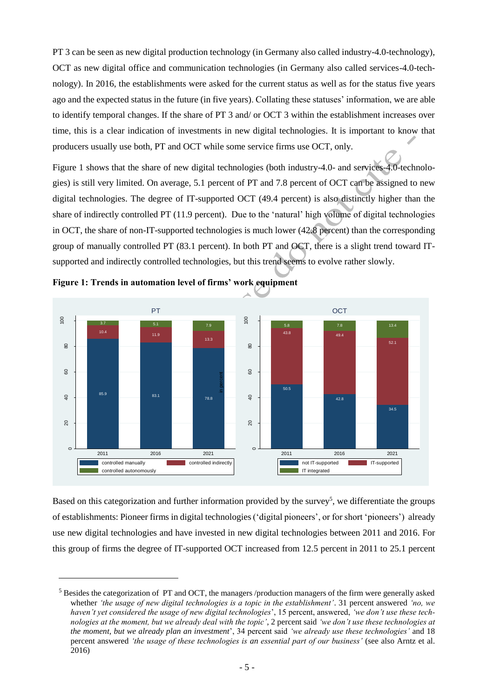PT 3 can be seen as new digital production technology (in Germany also called industry-4.0-technology), OCT as new digital office and communication technologies (in Germany also called services-4.0-technology). In 2016, the establishments were asked for the current status as well as for the status five years ago and the expected status in the future (in five years). Collating these statuses' information, we are able to identify temporal changes. If the share of PT 3 and/ or OCT 3 within the establishment increases over time, this is a clear indication of investments in new digital technologies. It is important to know that producers usually use both, PT and OCT while some service firms use OCT, only.

Figure 1 shows that the share of new digital technologies (both industry-4.0- and services-4.0-technologies) is still very limited. On average, 5.1 percent of PT and 7.8 percent of OCT can be assigned to new digital technologies. The degree of IT-supported OCT (49.4 percent) is also distinctly higher than the share of indirectly controlled PT (11.9 percent). Due to the 'natural' high volume of digital technologies in OCT, the share of non-IT-supported technologies is much lower (42.8 percent) than the corresponding group of manually controlled PT (83.1 percent). In both PT and OCT, there is a slight trend toward ITsupported and indirectly controlled technologies, but this trend seems to evolve rather slowly. on ave<br>egree<br>ed PT<br>f-supped PT<br>mation<br>pr<br>FT<br>5.1<br>11.9



**Figure 1: Trends in automation level of firms' work equipment**

 $\overline{a}$ 

Based on this categorization and further information provided by the survey<sup>5</sup>, we differentiate the groups of establishments: Pioneer firms in digital technologies ('digital pioneers', or for short 'pioneers') already use new digital technologies and have invested in new digital technologies between 2011 and 2016. For this group of firms the degree of IT-supported OCT increased from 12.5 percent in 2011 to 25.1 percent

<sup>5</sup> Besides the categorization of PT and OCT, the managers /production managers of the firm were generally asked whether *'the usage of new digital technologies is a topic in the establishment'*. 31 percent answered *'no, we haven't yet considered the usage of new digital technologies*', 15 percent, answered, *'we don't use these technologies at the moment, but we already deal with the topic'*, 2 percent said *'we don't use these technologies at the moment, but we already plan an investment*', 34 percent said *'we already use these technologies'* and 18 percent answered *'the usage of these technologies is an essential part of our business'* (see also Arntz et al. 2016)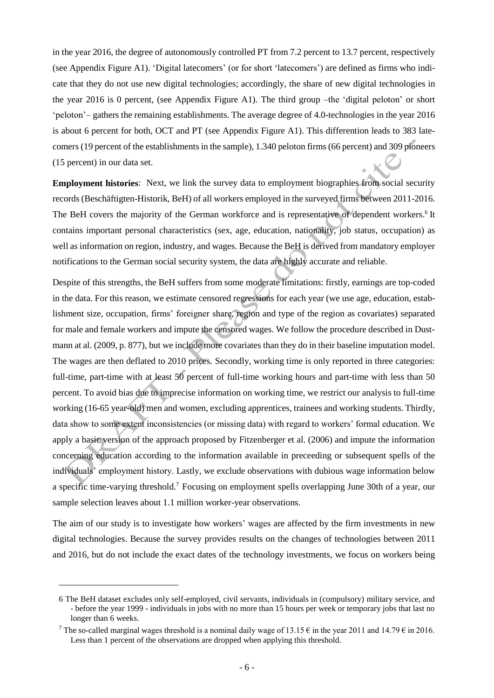in the year 2016, the degree of autonomously controlled PT from 7.2 percent to 13.7 percent, respectively (see Appendix Figure A1). 'Digital latecomers' (or for short 'latecomers') are defined as firms who indicate that they do not use new digital technologies; accordingly, the share of new digital technologies in the year 2016 is 0 percent, (see Appendix Figure A1). The third group –the 'digital peloton' or short 'peloton'– gathers the remaining establishments. The average degree of 4.0-technologies in the year 2016 is about 6 percent for both, OCT and PT (see Appendix Figure A1). This differention leads to 383 latecomers (19 percent of the establishments in the sample), 1.340 peloton firms (66 percent) and 309 pioneers (15 percent) in our data set.

**Employment histories**: Next, we link the survey data to employment biographies from social security records (Beschäftigten-Historik, BeH) of all workers employed in the surveyed firms between 2011-2016. The BeH covers the majority of the German workforce and is representative of dependent workers.<sup>6</sup> It contains important personal characteristics (sex, age, education, nationality, job status, occupation) as well as information on region, industry, and wages. Because the BeH is derived from mandatory employer notifications to the German social security system, the data are highly accurate and reliable.

Despite of this strengths, the BeH suffers from some moderate limitations: firstly, earnings are top-coded in the data. For this reason, we estimate censored regressions for each year (we use age, education, establishment size, occupation, firms' foreigner share, region and type of the region as covariates) separated for male and female workers and impute the censored wages. We follow the procedure described in Dustmann at al. (2009, p. 877), but we include more covariates than they do in their baseline imputation model. The wages are then deflated to 2010 prices. Secondly, working time is only reported in three categories: full-time, part-time with at least 50 percent of full-time working hours and part-time with less than 50 percent. To avoid bias due to imprecise information on working time, we restrict our analysis to full-time working (16-65 year-old) men and women, excluding apprentices, trainees and working students. Thirdly, data show to some extent inconsistencies (or missing data) with regard to workers' formal education. We apply a basic version of the approach proposed by Fitzenberger et al. (2006) and impute the information concerning education according to the information available in preceeding or subsequent spells of the individuals' employment history. Lastly, we exclude observations with dubious wage information below a specific time-varying threshold.<sup>7</sup> Focusing on employment spells overlapping June 30th of a year, our sample selection leaves about 1.1 million worker-year observations.

The aim of our study is to investigate how workers' wages are affected by the firm investments in new digital technologies. Because the survey provides results on the changes of technologies between 2011 and 2016, but do not include the exact dates of the technology investments, we focus on workers being

l

<sup>6</sup> The BeH dataset excludes only self-employed, civil servants, individuals in (compulsory) military service, and - before the year 1999 - individuals in jobs with no more than 15 hours per week or temporary jobs that last no longer than 6 weeks.

<sup>&</sup>lt;sup>7</sup> The so-called marginal wages threshold is a nominal daily wage of 13.15  $\epsilon$  in the year 2011 and 14.79  $\epsilon$  in 2016. Less than 1 percent of the observations are dropped when applying this threshold.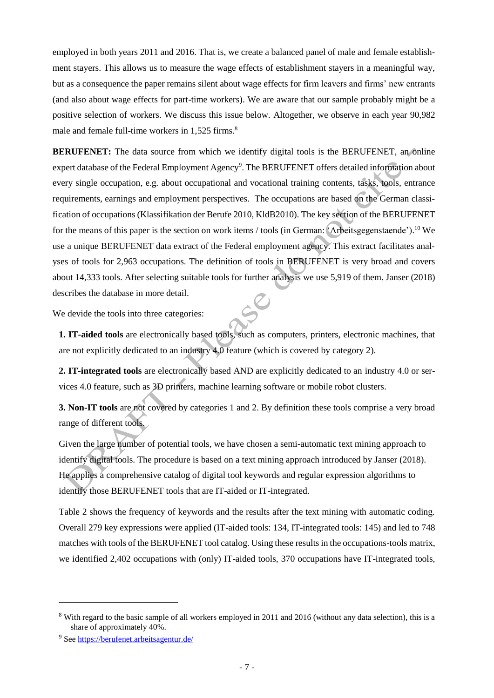employed in both years 2011 and 2016. That is, we create a balanced panel of male and female establishment stayers. This allows us to measure the wage effects of establishment stayers in a meaningful way, but as a consequence the paper remains silent about wage effects for firm leavers and firms' new entrants (and also about wage effects for part-time workers). We are aware that our sample probably might be a positive selection of workers. We discuss this issue below. Altogether, we observe in each year 90,982 male and female full-time workers in 1,525 firms.<sup>8</sup>

**BERUFENET:** The data source from which we identify digital tools is the BERUFENET, an online expert database of the Federal Employment Agency<sup>9</sup>. The BERUFENET offers detailed information about every single occupation, e.g. about occupational and vocational training contents, tasks, tools, entrance requirements, earnings and employment perspectives. The occupations are based on the German classification of occupations (Klassifikation der Berufe 2010, KldB2010). The key section of the BERUFENET for the means of this paper is the section on work items / tools (in German: 'Arbeitsgegenstaende'). <sup>10</sup> We use a unique BERUFENET data extract of the Federal employment agency. This extract facilitates analyses of tools for 2,963 occupations. The definition of tools in BERUFENET is very broad and covers about 14,333 tools. After selecting suitable tools for further analysis we use 5,919 of them. Janser (2018) describes the database in more detail.

We devide the tools into three categories:

**1. IT-aided tools** are electronically based tools, such as computers, printers, electronic machines, that are not explicitly dedicated to an industry 4.0 feature (which is covered by category 2).

**2. IT-integrated tools** are electronically based AND are explicitly dedicated to an industry 4.0 or services 4.0 feature, such as 3D printers, machine learning software or mobile robot clusters.

**3. Non-IT tools** are not covered by categories 1 and 2. By definition these tools comprise a very broad range of different tools.

Given the large number of potential tools, we have chosen a semi-automatic text mining approach to identify digital tools. The procedure is based on a text mining approach introduced by Janser (2018). He applies a comprehensive catalog of digital tool keywords and regular expression algorithms to identify those BERUFENET tools that are IT-aided or IT-integrated.

[Table 2](#page-7-0) shows the frequency of keywords and the results after the text mining with automatic coding. Overall 279 key expressions were applied (IT-aided tools: 134, IT-integrated tools: 145) and led to 748 matches with tools of the BERUFENET tool catalog. Using these results in the occupations-tools matrix, we identified 2,402 occupations with (only) IT-aided tools, 370 occupations have IT-integrated tools,

l

<sup>&</sup>lt;sup>8</sup> With regard to the basic sample of all workers employed in 2011 and 2016 (without any data selection), this is a share of approximately 40%.

<sup>9</sup> See<https://berufenet.arbeitsagentur.de/>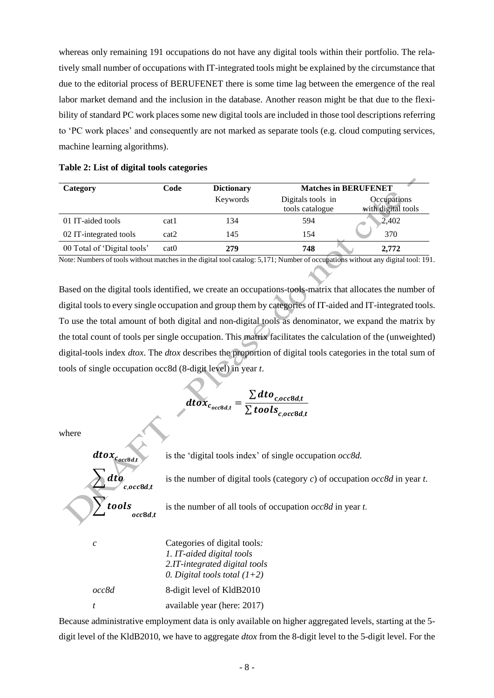whereas only remaining 191 occupations do not have any digital tools within their portfolio. The relatively small number of occupations with IT-integrated tools might be explained by the circumstance that due to the editorial process of BERUFENET there is some time lag between the emergence of the real labor market demand and the inclusion in the database. Another reason might be that due to the flexibility of standard PC work places some new digital tools are included in those tool descriptions referring to 'PC work places' and consequently are not marked as separate tools (e.g. cloud computing services, machine learning algorithms).

<span id="page-7-0"></span>

|  |  |  |  | Table 2: List of digital tools categories |
|--|--|--|--|-------------------------------------------|
|--|--|--|--|-------------------------------------------|

| Category                    | Code  | <b>Dictionary</b> | <b>Matches in BERUFENET</b>          |                                   |
|-----------------------------|-------|-------------------|--------------------------------------|-----------------------------------|
|                             |       | Keywords          | Digitals tools in<br>tools catalogue | Occupations<br>with digital tools |
| 01 IT-aided tools           | cat1  | 134               | 594                                  | 2,402                             |
| 02 IT-integrated tools      | cat2  | 145               | 154                                  | 370                               |
| 00 Total of 'Digital tools' | cat() | 279               | 748                                  | 2,772                             |

Note: Numbers of tools without matches in the digital tool catalog: 5,171; Number of occupations without any digital tool: 191.

Based on the digital tools identified, we create an occupations-tools-matrix that allocates the number of digital tools to every single occupation and group them by categories of IT-aided and IT-integrated tools. To use the total amount of both digital and non-digital tools as denominator, we expand the matrix by the total count of tools per single occupation. This matrix facilitates the calculation of the (unweighted) digital-tools index *dtox*. The *dtox* describes the proportion of digital tools categories in the total sum of tools of single occupation occ8d (8-digit level) in year *t*.

$$
dtox_{c_{occ8d,t}} = \frac{\sum dto_{c,occ8d,t}}{\sum tools_{c,occ8d,t}}
$$

where

is the 'digital tools index' of single occupation *occ8d.*



is the number of digital tools (category *c*) of occupation *occ8d* in year *t*.

is the number of all tools of occupation *occ8d* in year *t*.

|       | Categories of digital tools.<br>1. IT-aided digital tools<br>2.IT-integrated digital tools<br>0. Digital tools total $(1+2)$ |
|-------|------------------------------------------------------------------------------------------------------------------------------|
| occ8d | 8-digit level of KldB2010                                                                                                    |
|       | available year (here: 2017)                                                                                                  |

Because administrative employment data is only available on higher aggregated levels, starting at the 5 digit level of the KldB2010, we have to aggregate *dtox* from the 8-digit level to the 5-digit level. For the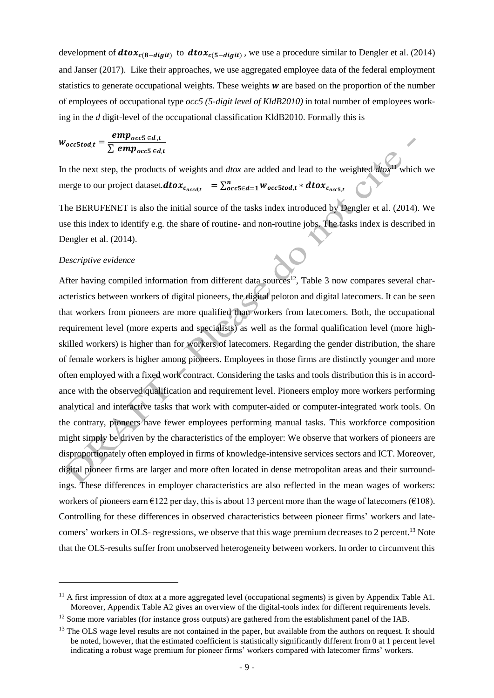development of  $dtox_{c(8-digit)}$  to  $dtox_{c(5-digit)}$ , we use a procedure similar to Dengler et al. (2014) and Janser (2017). Like their approaches, we use aggregated employee data of the federal employment statistics to generate occupational weights. These weights  $w$  are based on the proportion of the number of employees of occupational type *occ5 (5-digit level of KldB2010)* in total number of employees working in the *d* digit-level of the occupational classification KldB2010. Formally this is

$$
W_{occ5tod,t} = \frac{emp_{occ5 \in d,t}}{\sum emp_{occ5 \in d,t}}
$$

In the next step, the products of weights and *dtox* are added and lead to the weighted *dtox*<sup>11</sup> which we merge to our project dataset. $\boldsymbol{dtox_{c_{occd,t}}}^{\top}=\sum_{occ5\in d=1}^{n}w_{occ5tod,t}*\boldsymbol{dtox_{c_{occ5,t}}}^{\top}$ 

The BERUFENET is also the initial source of the tasks index introduced by Dengler et al. (2014). We use this index to identify e.g. the share of routine- and non-routine jobs. The tasks index is described in Dengler et al. (2014).

#### *Descriptive evidence*

 $\overline{a}$ 

After having compiled information from different data sources<sup>12</sup>, Table 3 now compares several characteristics between workers of digital pioneers, the digital peloton and digital latecomers. It can be seen that workers from pioneers are more qualified than workers from latecomers. Both, the occupational requirement level (more experts and specialists) as well as the formal qualification level (more highskilled workers) is higher than for workers of latecomers. Regarding the gender distribution, the share of female workers is higher among pioneers. Employees in those firms are distinctly younger and more often employed with a fixed work contract. Considering the tasks and tools distribution this is in accordance with the observed qualification and requirement level. Pioneers employ more workers performing analytical and interactive tasks that work with computer-aided or computer-integrated work tools. On the contrary, pioneers have fewer employees performing manual tasks. This workforce composition might simply be driven by the characteristics of the employer: We observe that workers of pioneers are disproportionately often employed in firms of knowledge-intensive services sectors and ICT. Moreover, digital pioneer firms are larger and more often located in dense metropolitan areas and their surroundings. These differences in employer characteristics are also reflected in the mean wages of workers: workers of pioneers earn  $\epsilon$ 122 per day, this is about 13 percent more than the wage of latecomers ( $\epsilon$ 108). Controlling for these differences in observed characteristics between pioneer firms' workers and latecomers' workers in OLS- regressions, we observe that this wage premium decreases to 2 percent.<sup>13</sup> Note that the OLS-results suffer from unobserved heterogeneity between workers. In order to circumvent this

 $11$  A first impression of dtox at a more aggregated level (occupational segments) is given by Appendix Table A1. Moreover, Appendix Table A2 gives an overview of the digital-tools index for different requirements levels.

 $12$  Some more variables (for instance gross outputs) are gathered from the establishment panel of the IAB.

<sup>&</sup>lt;sup>13</sup> The OLS wage level results are not contained in the paper, but available from the authors on request. It should be noted, however, that the estimated coefficient is statistically significantly different from 0 at 1 percent level indicating a robust wage premium for pioneer firms' workers compared with latecomer firms' workers.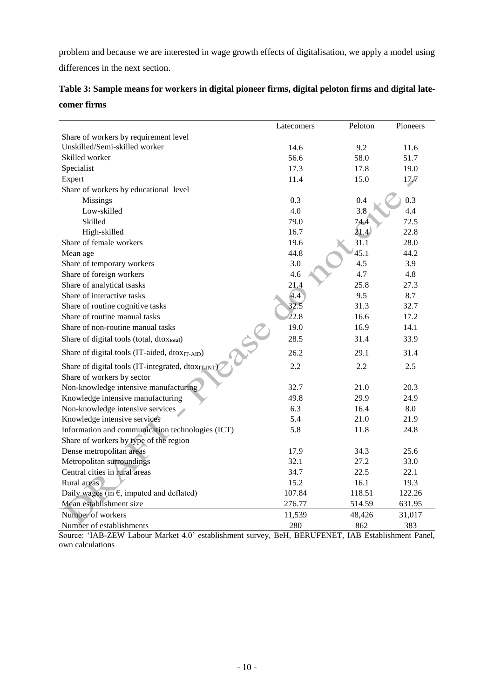problem and because we are interested in wage growth effects of digitalisation, we apply a model using differences in the next section.

|                                                    | Latecomers | Peloton | Pioneers |
|----------------------------------------------------|------------|---------|----------|
| Share of workers by requirement level              |            |         |          |
| Unskilled/Semi-skilled worker                      | 14.6       | 9.2     | 11.6     |
| Skilled worker                                     | 56.6       | 58.0    | 51.7     |
| Specialist                                         | 17.3       | 17.8    | 19.0     |
| Expert                                             | 11.4       | 15.0    | 17.7     |
| Share of workers by educational level              |            |         |          |
| Missings                                           | 0.3        | 0.4     | 0.3      |
| Low-skilled                                        | 4.0        | 3.8     | 4.4      |
| Skilled                                            | 79.0       | 74.4    | 72.5     |
| High-skilled                                       | 16.7       | 21.4    | 22.8     |
| Share of female workers                            | 19.6       | 31.1    | 28.0     |
| Mean age                                           | 44.8       | 45.1    | 44.2     |
| Share of temporary workers                         | 3.0        | 4.5     | 3.9      |
| Share of foreign workers                           | 4.6        | 4.7     | 4.8      |
| Share of analytical tsasks                         | 21.4       | 25.8    | 27.3     |
| Share of interactive tasks                         | 4.4        | 9.5     | 8.7      |
| Share of routine cognitive tasks                   | 32.5       | 31.3    | 32.7     |
| Share of routine manual tasks                      | 22.8       | 16.6    | 17.2     |
| Share of non-routine manual tasks                  | 19.0       | 16.9    | 14.1     |
| Share of digital tools (total, dtoxtotal)          | 28.5       | 31.4    | 33.9     |
| Share of digital tools (IT-aided, dtoxIT-AID)      | 26.2       | 29.1    | 31.4     |
| Share of digital tools (IT-integrated, dtoxIT-INT) | 2.2        | 2.2     | 2.5      |
| Share of workers by sector                         |            |         |          |
| Non-knowledge intensive manufacturing              | 32.7       | 21.0    | 20.3     |
| Knowledge intensive manufacturing                  | 49.8       | 29.9    | 24.9     |
| Non-knowledge intensive services                   | 6.3        | 16.4    | 8.0      |
| Knowledge intensive services                       | 5.4        | 21.0    | 21.9     |
| Information and communication technologies (ICT)   | 5.8        | 11.8    | 24.8     |
| Share of workers by type of the region             |            |         |          |
| Dense metropolitan areas                           | 17.9       | 34.3    | 25.6     |
| Metropolitan surroundings                          | 32.1       | 27.2    | 33.0     |
| Central cities in rural areas                      | 34.7       | 22.5    | 22.1     |
| Rural areas                                        | 15.2       | 16.1    | 19.3     |
| Daily wages (in $\epsilon$ , imputed and deflated) | 107.84     | 118.51  | 122.26   |
| Mean establishment size                            | 276.77     | 514.59  | 631.95   |
| Number of workers                                  | 11,539     | 48,426  | 31,017   |
| Number of establishments                           | 280        | 862     | 383      |

**Table 3: Sample means for workers in digital pioneer firms, digital peloton firms and digital latecomer firms**

Source: 'IAB-ZEW Labour Market 4.0' establishment survey, BeH, BERUFENET, IAB Establishment Panel, own calculations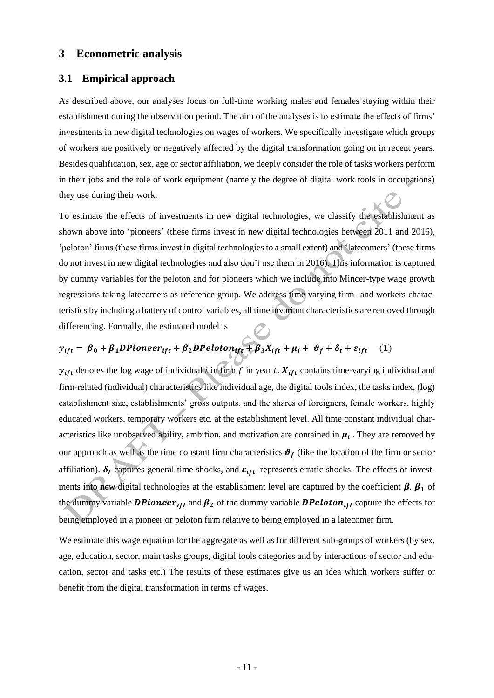# **3 Econometric analysis**

#### **3.1 Empirical approach**

As described above, our analyses focus on full-time working males and females staying within their establishment during the observation period. The aim of the analyses is to estimate the effects of firms' investments in new digital technologies on wages of workers. We specifically investigate which groups of workers are positively or negatively affected by the digital transformation going on in recent years. Besides qualification, sex, age or sector affiliation, we deeply consider the role of tasks workers perform in their jobs and the role of work equipment (namely the degree of digital work tools in occupations) they use during their work.

To estimate the effects of investments in new digital technologies, we classify the establishment as shown above into 'pioneers' (these firms invest in new digital technologies between 2011 and 2016), 'peloton' firms (these firms invest in digital technologies to a small extent) and 'latecomers' (these firms do not invest in new digital technologies and also don't use them in 2016). This information is captured by dummy variables for the peloton and for pioneers which we include into Mincer-type wage growth regressions taking latecomers as reference group. We address time varying firm- and workers characteristics by including a battery of control variables, all time invariant characteristics are removed through differencing. Formally, the estimated model is

# Therefore the strategy is the estimated model is<br>  $y_{ift} = \beta_0 + \beta_1 DPioneer_{ift} + \beta_2 DPeloton_{ift} + \beta_3 X_{ift} + \mu_i + \vartheta_f + \delta_t + \varepsilon_{ift}$  (1)

 $y_{if}$  denotes the log wage of individual *i* in firm f in year t.  $X_{if}$  contains time-varying individual and firm-related (individual) characteristics like individual age, the digital tools index, the tasks index, (log) establishment size, establishments' gross outputs, and the shares of foreigners, female workers, highly educated workers, temporary workers etc. at the establishment level. All time constant individual characteristics like unobserved ability, ambition, and motivation are contained in  $\mu_i$ . They are removed by our approach as well as the time constant firm characteristics  $\theta_f$  (like the location of the firm or sector affiliation).  $\delta_t$  captures general time shocks, and  $\varepsilon_{ift}$  represents erratic shocks. The effects of investments into new digital technologies at the establishment level are captured by the coefficient  $\beta$ .  $\beta_1$  of the dummy variable **DPioneer**<sub>ift</sub> and  $\beta_2$  of the dummy variable **DPeloton**<sub>ift</sub> capture the effects for being employed in a pioneer or peloton firm relative to being employed in a latecomer firm.

We estimate this wage equation for the aggregate as well as for different sub-groups of workers (by sex, age, education, sector, main tasks groups, digital tools categories and by interactions of sector and education, sector and tasks etc.) The results of these estimates give us an idea which workers suffer or benefit from the digital transformation in terms of wages.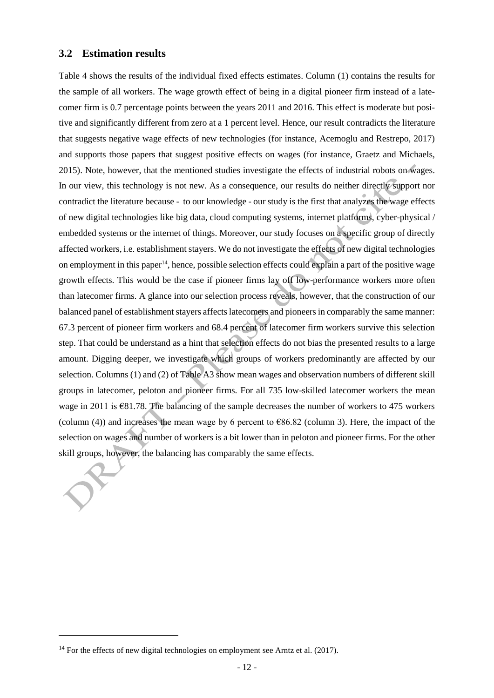#### **3.2 Estimation results**

Table 4 shows the results of the individual fixed effects estimates. Column (1) contains the results for the sample of all workers. The wage growth effect of being in a digital pioneer firm instead of a latecomer firm is 0.7 percentage points between the years 2011 and 2016. This effect is moderate but positive and significantly different from zero at a 1 percent level. Hence, our result contradicts the literature that suggests negative wage effects of new technologies (for instance, Acemoglu and Restrepo, 2017) and supports those papers that suggest positive effects on wages (for instance, Graetz and Michaels, 2015). Note, however, that the mentioned studies investigate the effects of industrial robots on wages. In our view, this technology is not new. As a consequence, our results do neither directly support nor contradict the literature because - to our knowledge - our study is the first that analyzes the wage effects of new digital technologies like big data, cloud computing systems, internet platforms, cyber-physical / embedded systems or the internet of things. Moreover, our study focuses on a specific group of directly affected workers, i.e. establishment stayers. We do not investigate the effects of new digital technologies on employment in this paper<sup>14</sup>, hence, possible selection effects could explain a part of the positive wage growth effects. This would be the case if pioneer firms lay off low-performance workers more often than latecomer firms. A glance into our selection process reveals, however, that the construction of our balanced panel of establishment stayers affects latecomers and pioneers in comparably the same manner: 67.3 percent of pioneer firm workers and 68.4 percent of latecomer firm workers survive this selection step. That could be understand as a hint that selection effects do not bias the presented results to a large amount. Digging deeper, we investigate which groups of workers predominantly are affected by our selection. Columns (1) and (2) of Table A3 show mean wages and observation numbers of different skill groups in latecomer, peloton and pioneer firms. For all 735 low-skilled latecomer workers the mean wage in 2011 is €81.78. The balancing of the sample decreases the number of workers to 475 workers (column (4)) and increases the mean wage by 6 percent to  $\epsilon$ 86.82 (column 3). Here, the impact of the selection on wages and number of workers is a bit lower than in peloton and pioneer firms. For the other skill groups, however, the balancing has comparably the same effects.

 $\overline{a}$ 

 $14$  For the effects of new digital technologies on employment see Arntz et al. (2017).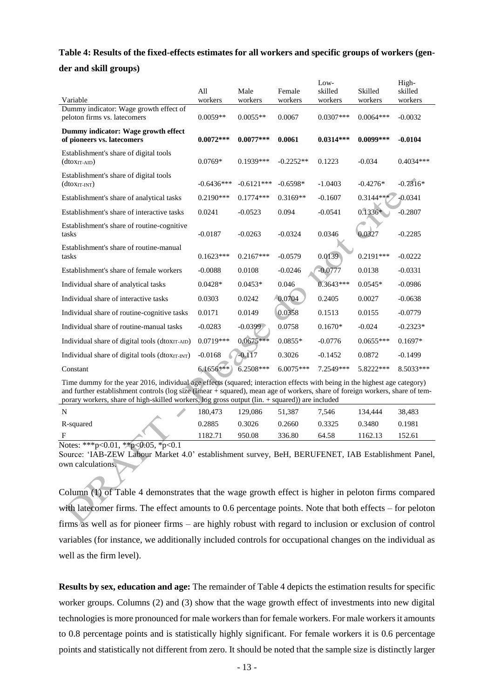# **Table 4: Results of the fixed-effects estimates for all workers and specific groups of workers (gen-**

# **der and skill groups)**

|                                                                        | All          | Male         | Female      | Low-<br>skilled | Skilled     | High-<br>skilled |
|------------------------------------------------------------------------|--------------|--------------|-------------|-----------------|-------------|------------------|
| Variable                                                               | workers      | workers      | workers     | workers         | workers     | workers          |
| Dummy indicator: Wage growth effect of<br>peloton firms vs. latecomers | $0.0059**$   | $0.0055**$   | 0.0067      | $0.0307***$     | $0.0064***$ | $-0.0032$        |
| Dummy indicator: Wage growth effect<br>of pioneers vs. latecomers      | $0.0072***$  | $0.0077***$  | 0.0061      | $0.0314***$     | $0.0099***$ | $-0.0104$        |
| Establishment's share of digital tools<br>$(dtoXIT-ALD)$               | $0.0769*$    | $0.1939***$  | $-0.2252**$ | 0.1223          | $-0.034$    | $0.4034***$      |
| Establishment's share of digital tools<br>$(dtoxIT-INT)$               | $-0.6436***$ | $-0.6121***$ | $-0.6598*$  | $-1.0403$       | $-0.4276*$  | $-0.7316*$       |
| Establishment's share of analytical tasks                              | $0.2190***$  | $0.1774***$  | $0.3169**$  | $-0.1607$       | $0.3144**$  | $+0.0341$        |
| Establishment's share of interactive tasks                             | 0.0241       | $-0.0523$    | 0.094       | $-0.0541$       | $0.1336*$   | $-0.2807$        |
| Establishment's share of routine-cognitive<br>tasks                    | $-0.0187$    | $-0.0263$    | $-0.0324$   | 0.0346          | 0.0327      | $-0.2285$        |
| Establishment's share of routine-manual<br>tasks                       | $0.1623***$  | $0.2167***$  | $-0.0579$   | 0.0139          | $0.2191***$ | $-0.0222$        |
| Establishment's share of female workers                                | $-0.0088$    | 0.0108       | $-0.0246$   | $-0.0777$       | 0.0138      | $-0.0331$        |
| Individual share of analytical tasks                                   | $0.0428*$    | $0.0453*$    | 0.046       | $0.3643***$     | $0.0545*$   | $-0.0986$        |
| Individual share of interactive tasks                                  | 0.0303       | 0.0242       | $-0.0704$   | 0.2405          | 0.0027      | $-0.0638$        |
| Individual share of routine-cognitive tasks                            | 0.0171       | 0.0149       | 0.0358      | 0.1513          | 0.0155      | $-0.0779$        |
| Individual share of routine-manual tasks                               | $-0.0283$    | $-0.0399$    | 0.0758      | $0.1670*$       | $-0.024$    | $-0.2323*$       |
| Individual share of digital tools (dtoxin-AID)                         | $0.0719***$  | $0.0675***$  | $0.0855*$   | $-0.0776$       | $0.0655***$ | $0.1697*$        |
| Individual share of digital tools (dtoxin-INT)                         | $-0.0168$    | $-0.117$     | 0.3026      | $-0.1452$       | 0.0872      | $-0.1499$        |
| Constant                                                               | 6.1656***    | 6.2508***    | 6.0075***   | 7.2549***       | 5.8222***   | 8.5033***        |

Time dummy for the year 2016, individual age effects (squared; interaction effects with being in the highest age category) and further establishment controls (log size (linear + squared), mean age of workers, share of foreign workers, share of temporary workers, share of high-skilled workers, log gross output (lin. + squared)) are included

| N                                                                                                                                                                                                                                                                                                                                                                           | 180.473 | 129.086 | 51.387 | 7.546  | 134.444 | 38.483 |
|-----------------------------------------------------------------------------------------------------------------------------------------------------------------------------------------------------------------------------------------------------------------------------------------------------------------------------------------------------------------------------|---------|---------|--------|--------|---------|--------|
| R-squared                                                                                                                                                                                                                                                                                                                                                                   | 0.2885  | 0.3026  | 0.2660 | 0.3325 | 0.3480  | 0.1981 |
|                                                                                                                                                                                                                                                                                                                                                                             | 1182.71 | 950.08  | 336.80 | 64.58  | 162.13  | 152.61 |
| $\mathbf{M}$ , $\mathbf{A} = \mathbf{M} + \mathbf{M}$ , $\mathbf{M} = \mathbf{M}$ , $\mathbf{M} = \mathbf{M}$ , $\mathbf{M} = \mathbf{M}$ , $\mathbf{M} = \mathbf{M}$ , $\mathbf{M} = \mathbf{M}$ , $\mathbf{M} = \mathbf{M}$ , $\mathbf{M} = \mathbf{M}$ , $\mathbf{M} = \mathbf{M}$ , $\mathbf{M} = \mathbf{M}$ , $\mathbf{M} = \mathbf{M}$ , $\mathbf{M} = \mathbf{M}$ , |         |         |        |        |         |        |

Notes: \*\*\*p<0.01, \*\*p<0.05, \*p<0.1

Source: 'IAB-ZEW Labour Market 4.0' establishment survey, BeH, BERUFENET, IAB Establishment Panel, own calculations.

Column (1) of Table 4 demonstrates that the wage growth effect is higher in peloton firms compared with latecomer firms. The effect amounts to 0.6 percentage points. Note that both effects – for peloton firms as well as for pioneer firms – are highly robust with regard to inclusion or exclusion of control variables (for instance, we additionally included controls for occupational changes on the individual as well as the firm level).

**Results by sex, education and age:** The remainder of Table 4 depicts the estimation results for specific worker groups. Columns (2) and (3) show that the wage growth effect of investments into new digital technologies is more pronounced for male workers than for female workers. For male workers it amounts to 0.8 percentage points and is statistically highly significant. For female workers it is 0.6 percentage points and statistically not different from zero. It should be noted that the sample size is distinctly larger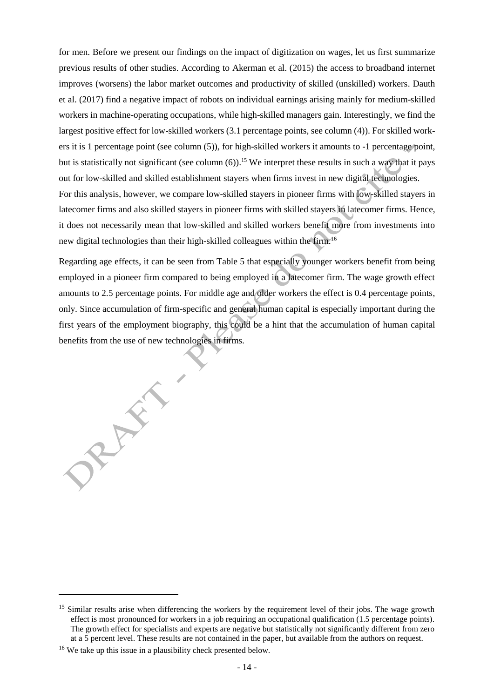for men. Before we present our findings on the impact of digitization on wages, let us first summarize previous results of other studies. According to Akerman et al. (2015) the access to broadband internet improves (worsens) the labor market outcomes and productivity of skilled (unskilled) workers. Dauth et al. (2017) find a negative impact of robots on individual earnings arising mainly for medium-skilled workers in machine-operating occupations, while high-skilled managers gain. Interestingly, we find the largest positive effect for low-skilled workers (3.1 percentage points, see column (4)). For skilled workers it is 1 percentage point (see column (5)), for high-skilled workers it amounts to -1 percentage point, but is statistically not significant (see column (6)). <sup>15</sup> We interpret these results in such a way that it pays out for low-skilled and skilled establishment stayers when firms invest in new digital technologies. For this analysis, however, we compare low-skilled stayers in pioneer firms with low-skilled stayers in latecomer firms and also skilled stayers in pioneer firms with skilled stayers in latecomer firms. Hence, it does not necessarily mean that low-skilled and skilled workers benefit more from investments into

Regarding age effects, it can be seen from Table 5 that especially younger workers benefit from being employed in a pioneer firm compared to being employed in a latecomer firm. The wage growth effect amounts to 2.5 percentage points. For middle age and older workers the effect is 0.4 percentage points, only. Since accumulation of firm-specific and general human capital is especially important during the first years of the employment biography, this could be a hint that the accumulation of human capital benefits from the use of new technologies in firms.

new digital technologies than their high-skilled colleagues within the firm. 16

l

RAY

<sup>&</sup>lt;sup>15</sup> Similar results arise when differencing the workers by the requirement level of their jobs. The wage growth effect is most pronounced for workers in a job requiring an occupational qualification (1.5 percentage points). The growth effect for specialists and experts are negative but statistically not significantly different from zero at a 5 percent level. These results are not contained in the paper, but available from the authors on request.

<sup>&</sup>lt;sup>16</sup> We take up this issue in a plausibility check presented below.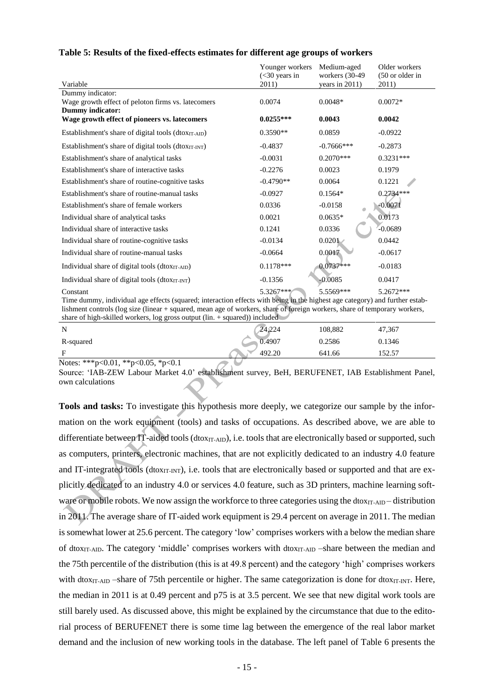| Table 5: Results of the fixed-effects estimates for different age groups of workers |  |
|-------------------------------------------------------------------------------------|--|
|-------------------------------------------------------------------------------------|--|

|                                                                                                   | Younger workers<br>$(<$ 30 years in | Medium-aged<br>workers (30-49) | Older workers<br>$(50 \text{ or older in})$ |
|---------------------------------------------------------------------------------------------------|-------------------------------------|--------------------------------|---------------------------------------------|
| Variable                                                                                          | 2011)                               | years in $2011$ )              | 2011)                                       |
| Dummy indicator:<br>Wage growth effect of peloton firms vs. latecomers<br><b>Dummy indicator:</b> | 0.0074                              | $0.0048*$                      | $0.0072*$                                   |
| Wage growth effect of pioneers vs. latecomers                                                     | $0.0255***$                         | 0.0043                         | 0.0042                                      |
| Establishment's share of digital tools (dtox $_{IT-AID}$ )                                        | $0.3590**$                          | 0.0859                         | $-0.0922$                                   |
| Establishment's share of digital tools (dtoxIT-INT)                                               | $-0.4837$                           | $-0.7666$ ***                  | $-0.2873$                                   |
| Establishment's share of analytical tasks                                                         | $-0.0031$                           | $0.2070***$                    | $0.3231***$                                 |
| Establishment's share of interactive tasks                                                        | $-0.2276$                           | 0.0023                         | 0.1979                                      |
| Establishment's share of routine-cognitive tasks                                                  | $-0.4790**$                         | 0.0064                         | 0.1221                                      |
| Establishment's share of routine-manual tasks                                                     | $-0.0927$                           | $0.1564*$                      | $0.2734***$                                 |
| Establishment's share of female workers                                                           | 0.0336                              | $-0.0158$                      | $-0.0071$                                   |
| Individual share of analytical tasks                                                              | 0.0021                              | $0.0635*$                      | 0.0173                                      |
| Individual share of interactive tasks                                                             | 0.1241                              | 0.0336                         | $-0.0689$                                   |
| Individual share of routine-cognitive tasks                                                       | $-0.0134$                           | 0.0201                         | 0.0442                                      |
| Individual share of routine-manual tasks                                                          | $-0.0664$                           | 0.0017                         | $-0.0617$                                   |
| Individual share of digital tools (dtoxin-AID)                                                    | $0.1178***$                         | $0.0737***$                    | $-0.0183$                                   |
| Individual share of digital tools (dtoxIT-INT)                                                    | $-0.1356$                           | $-0.0085$                      | 0.0417                                      |
| Constant                                                                                          | 5.3267***                           | 5.5569***                      | 5.2672***                                   |

Time dummy, individual age effects (squared; interaction effects with being in the highest age category) and further establishment controls (log size (linear + squared, mean age of workers, share of foreign workers, share of temporary workers, share of high-skilled workers, log gross output (lin.  $+$  squared)) included

| ------- - - - ---<br>------<br>------- | ------------<br>------------- |         |           |  |
|----------------------------------------|-------------------------------|---------|-----------|--|
| N                                      | 24,224                        | 108,882 | 47,367    |  |
| R-squared                              | 0.4907                        | 0.2586  | 0.1346    |  |
| Е                                      | 492.20                        | 641.66  | 5257<br>ر |  |
|                                        |                               |         |           |  |

Notes: \*\*\*p<0.01, \*\*p<0.05, \*p<0.1

Source: 'IAB-ZEW Labour Market 4.0' establishment survey, BeH, BERUFENET, IAB Establishment Panel, own calculations

**Tools and tasks:** To investigate this hypothesis more deeply, we categorize our sample by the information on the work equipment (tools) and tasks of occupations. As described above, we are able to differentiate between IT-aided tools (dtoxIT-AID), i.e. tools that are electronically based or supported, such as computers, printers, electronic machines, that are not explicitly dedicated to an industry 4.0 feature and IT-integrated tools (dtox $_{\text{IT-INT}}$ ), i.e. tools that are electronically based or supported and that are explicitly dedicated to an industry 4.0 or services 4.0 feature, such as 3D printers, machine learning software or mobile robots. We now assign the workforce to three categories using the dtoxIT-AID – distribution in 2011. The average share of IT-aided work equipment is 29.4 percent on average in 2011. The median is somewhat lower at 25.6 percent. The category 'low' comprises workers with a below the median share of dtox<sub>IT-AID</sub>. The category 'middle' comprises workers with dtox<sub>IT-AID</sub> –share between the median and the 75th percentile of the distribution (this is at 49.8 percent) and the category 'high' comprises workers with dtox $_{IT-AID}$  –share of 75th percentile or higher. The same categorization is done for dtox $_{IT-INT}$ . Here, the median in 2011 is at 0.49 percent and p75 is at 3.5 percent. We see that new digital work tools are still barely used. As discussed above, this might be explained by the circumstance that due to the editorial process of BERUFENET there is some time lag between the emergence of the real labor market demand and the inclusion of new working tools in the database. The left panel of Table 6 presents the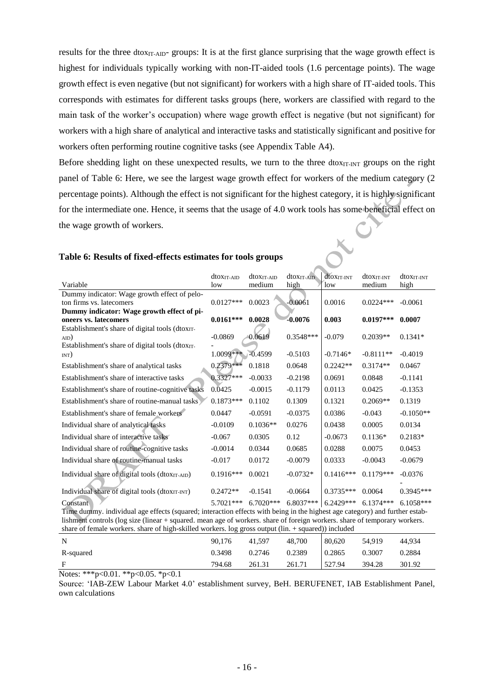results for the three dtox<sub>IT-AID</sub>- groups: It is at the first glance surprising that the wage growth effect is highest for individuals typically working with non-IT-aided tools (1.6 percentage points). The wage growth effect is even negative (but not significant) for workers with a high share of IT-aided tools. This corresponds with estimates for different tasks groups (here, workers are classified with regard to the main task of the worker's occupation) where wage growth effect is negative (but not significant) for workers with a high share of analytical and interactive tasks and statistically significant and positive for workers often performing routine cognitive tasks (see Appendix Table A4).

Before shedding light on these unexpected results, we turn to the three dtox $_{IT-INT}$  groups on the right panel of Table 6: Here, we see the largest wage growth effect for workers of the medium category (2 percentage points). Although the effect is not significant for the highest category, it is highly significant for the intermediate one. Hence, it seems that the usage of 4.0 work tools has some beneficial effect on<br>the wage growth of workers.<br>Table 6: Results of fixed-effects estimate for the wage growth of workers.

|                                                             | dtoxit-aid                                                                                                                  | dtoxit-aid  | $d$ toxit-Aid | dtoxit-INT  | dtox <sub>IT-INT</sub> | dtox <sub>IT-INT</sub> |  |  |  |
|-------------------------------------------------------------|-----------------------------------------------------------------------------------------------------------------------------|-------------|---------------|-------------|------------------------|------------------------|--|--|--|
| Variable                                                    | low                                                                                                                         | medium      | high          | low         | medium                 | high                   |  |  |  |
| Dummy indicator: Wage growth effect of pelo-                |                                                                                                                             |             |               |             |                        |                        |  |  |  |
| ton firms vs. latecomers                                    | $0.0127***$                                                                                                                 | 0.0023      | $-0.0061$     | 0.0016      | $0.0224***$            | $-0.0061$              |  |  |  |
| Dummy indicator: Wage growth effect of pi-                  |                                                                                                                             |             |               |             |                        |                        |  |  |  |
| oneers vs. latecomers                                       | $0.0161***$                                                                                                                 | 0.0028      | $-0.0076$     | 0.003       | $0.0197***$            | 0.0007                 |  |  |  |
| Establishment's share of digital tools (dtoxIT-             |                                                                                                                             |             |               |             |                        |                        |  |  |  |
| $_{\rm AID}$ )                                              | $-0.0869$                                                                                                                   | 0.0619      | $0.3548***$   | $-0.079$    | $0.2039**$             | $0.1341*$              |  |  |  |
| Establishment's share of digital tools (dtox <sub>IT-</sub> |                                                                                                                             |             |               |             |                        |                        |  |  |  |
| INT)                                                        | $1.0099*** -0.4599$                                                                                                         |             | $-0.5103$     | $-0.7146*$  | $-0.8111**$            | $-0.4019$              |  |  |  |
| Establishment's share of analytical tasks                   | 0.2379***                                                                                                                   | 0.1818      | 0.0648        | $0.2242**$  | $0.3174**$             | 0.0467                 |  |  |  |
| Establishment's share of interactive tasks                  | $0.3327***$                                                                                                                 | $-0.0033$   | $-0.2198$     | 0.0691      | 0.0848                 | $-0.1141$              |  |  |  |
| Establishment's share of routine-cognitive tasks            | 0.0425                                                                                                                      | $-0.0015$   | $-0.1179$     | 0.0113      | 0.0425                 | $-0.1353$              |  |  |  |
| Establishment's share of routine-manual tasks               | $0.1873***$                                                                                                                 | 0.1102      | 0.1309        | 0.1321      | $0.2069**$             | 0.1319                 |  |  |  |
| Establishment's share of female workers                     | 0.0447                                                                                                                      | $-0.0591$   | $-0.0375$     | 0.0386      | $-0.043$               | $-0.1050**$            |  |  |  |
| Individual share of analytical tasks                        | $-0.0109$                                                                                                                   | $0.1036**$  | 0.0276        | 0.0438      | 0.0005                 | 0.0134                 |  |  |  |
| Individual share of interactive tasks                       | $-0.067$                                                                                                                    | 0.0305      | 0.12          | $-0.0673$   | $0.1136*$              | $0.2183*$              |  |  |  |
| Individual share of routine-cognitive tasks                 | $-0.0014$                                                                                                                   | 0.0344      | 0.0685        | 0.0288      | 0.0075                 | 0.0453                 |  |  |  |
| Individual share of routine-manual tasks                    | $-0.017$                                                                                                                    | 0.0172      | $-0.0079$     | 0.0333      | $-0.0043$              | $-0.0679$              |  |  |  |
| Individual share of digital tools (dtoxIT-AID)              | $0.1916***$                                                                                                                 | 0.0021      | $-0.0732*$    | $0.1416***$ | $0.1179***$            | $-0.0376$              |  |  |  |
| Individual share of digital tools (dtoxIT-INT)              | $0.2472**$                                                                                                                  | $-0.1541$   | $-0.0664$     | $0.3735***$ | 0.0064                 | $0.3945***$            |  |  |  |
| Constant                                                    | 5.7021***                                                                                                                   | $6.7020***$ | $6.8037***$   | $6.2429***$ | $6.1374***$            | $6.1058***$            |  |  |  |
|                                                             | Time dummy. individual age effects (squared; interaction effects with being in the highest age category) and further estab- |             |               |             |                        |                        |  |  |  |

#### **Table 6: Results of fixed-effects estimates for tools groups**

lishment controls (log size (linear + squared. mean age of workers. share of foreign workers. share of temporary workers. share of female workers. share of high-skilled workers. log gross output (lin. + squared)) included N 90,176 41,597 48,700 80,620 54,919 44,934

| -N-                                                               | 90.176 | 41.597 | 48,700 80,620 |        | 54,919 | 44.934 |
|-------------------------------------------------------------------|--------|--------|---------------|--------|--------|--------|
| R-squared                                                         | 0.3498 | 0.2746 | 0.2389 0.2865 |        | 0.3007 | 0.2884 |
| $\mathbf{F}$                                                      | 794.68 | 261.31 | 261.71        | 527.94 | 394.28 | 301.92 |
| $N_{\text{min}}$ , ***, $\Omega$ 01 **, $\Omega$ 05 *, $\Omega$ 1 |        |        |               |        |        |        |

Notes: \*\*\*p<0.01. \*\*p<0.05. \*p<0.1

Source: 'IAB-ZEW Labour Market 4.0' establishment survey, BeH. BERUFENET, IAB Establishment Panel, own calculations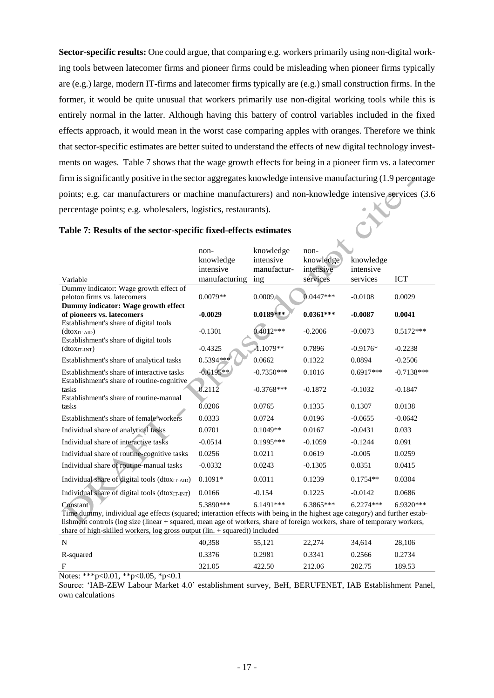**Sector-specific results:** One could argue, that comparing e.g. workers primarily using non-digital working tools between latecomer firms and pioneer firms could be misleading when pioneer firms typically are (e.g.) large, modern IT-firms and latecomer firms typically are (e.g.) small construction firms. In the former, it would be quite unusual that workers primarily use non-digital working tools while this is entirely normal in the latter. Although having this battery of control variables included in the fixed effects approach, it would mean in the worst case comparing apples with oranges. Therefore we think that sector-specific estimates are better suited to understand the effects of new digital technology investments on wages. Table 7 shows that the wage growth effects for being in a pioneer firm vs. a latecomer firm is significantly positive in the sector aggregates knowledge intensive manufacturing (1.9 percentage points; e.g. [car manufacturers](http://www.linguee.de/englisch-deutsch/uebersetzung/car+manufacturers.html) or [machine manufacturers\)](http://www.linguee.de/englisch-deutsch/uebersetzung/car+manufacturers.html) and non-knowledge intensive services (3.6 percentage points; e.g. wholesalers, logistics, restaurants).

 $\mathbb K$ 

|                                                                                                                             | non-          | knowledge     | non-        |             |              |  |  |
|-----------------------------------------------------------------------------------------------------------------------------|---------------|---------------|-------------|-------------|--------------|--|--|
|                                                                                                                             | knowledge     | intensive     | knowledge   | knowledge   |              |  |  |
|                                                                                                                             | intensive     | manufactur-   | intensive   | intensive   |              |  |  |
| Variable                                                                                                                    | manufacturing | ing           | services    | services    | <b>ICT</b>   |  |  |
| Dummy indicator: Wage growth effect of                                                                                      |               |               |             |             |              |  |  |
| peloton firms vs. latecomers                                                                                                | $0.0079**$    | 0.0009        | $0.0447***$ | $-0.0108$   | 0.0029       |  |  |
| Dummy indicator: Wage growth effect                                                                                         |               |               |             |             |              |  |  |
| of pioneers vs. latecomers                                                                                                  | $-0.0029$     | $0.0189***$   | $0.0361***$ | $-0.0087$   | 0.0041       |  |  |
| Establishment's share of digital tools                                                                                      |               |               |             |             |              |  |  |
| $(dtoXIT-AD)$                                                                                                               | $-0.1301$     | $0.4012***$   | $-0.2006$   | $-0.0073$   | $0.5172***$  |  |  |
| Establishment's share of digital tools                                                                                      |               |               |             |             |              |  |  |
| $(dtox_{IT-INT})$                                                                                                           | $-0.4325$     | $-1.1079**$   | 0.7896      | $-0.9176*$  | $-0.2238$    |  |  |
| Establishment's share of analytical tasks                                                                                   | 0.5394 ***    | 0.0662        | 0.1322      | 0.0894      | $-0.2506$    |  |  |
| Establishment's share of interactive tasks                                                                                  | $-0.6195**$   | $-0.7350***$  | 0.1016      | $0.6917***$ | $-0.7138***$ |  |  |
| Establishment's share of routine-cognitive                                                                                  |               |               |             |             |              |  |  |
| tasks                                                                                                                       | 0.2112        | $-0.3768$ *** | $-0.1872$   | $-0.1032$   | $-0.1847$    |  |  |
| Establishment's share of routine-manual                                                                                     |               |               |             |             |              |  |  |
| tasks                                                                                                                       | 0.0206        | 0.0765        | 0.1335      | 0.1307      | 0.0138       |  |  |
| Establishment's share of female workers                                                                                     | 0.0333        | 0.0724        | 0.0196      | $-0.0655$   | $-0.0642$    |  |  |
| Individual share of analytical tasks                                                                                        | 0.0701        | $0.1049**$    | 0.0167      | $-0.0431$   | 0.033        |  |  |
| Individual share of interactive tasks                                                                                       | $-0.0514$     | $0.1995***$   | $-0.1059$   | $-0.1244$   | 0.091        |  |  |
| Individual share of routine-cognitive tasks                                                                                 | 0.0256        | 0.0211        | 0.0619      | $-0.005$    | 0.0259       |  |  |
| Individual share of routine-manual tasks                                                                                    | $-0.0332$     | 0.0243        | $-0.1305$   | 0.0351      | 0.0415       |  |  |
| Individual share of digital tools (dtoxIT-AID)                                                                              | $0.1091*$     | 0.0311        | 0.1239      | $0.1754**$  | 0.0304       |  |  |
| Individual share of digital tools (dtoxIT-INT)                                                                              | 0.0166        | $-0.154$      | 0.1225      | $-0.0142$   | 0.0686       |  |  |
| Constant                                                                                                                    | 5.3890***     | $6.1491***$   | $6.3865***$ | $6.2274***$ | 6.9320***    |  |  |
| Time dummy, individual age effects (squared; interaction effects with being in the highest age category) and further estab- |               |               |             |             |              |  |  |
| lishment controls (log size (linear + squared, mean age of workers, share of foreign workers, share of temporary workers,   |               |               |             |             |              |  |  |
| share of high-skilled workers, log gross output (lin. + squared)) included                                                  |               |               |             |             |              |  |  |

# **Table 7: Results of the sector-specific fixed-effects estimates**

N 40,358 55,121 22,274 34,614 28,106 R-squared 6.3376 0.2981 0.3341 0.2566 0.2734 F 321.05 422.50 212.06 202.75 189.53

Notes: \*\*\*p<0.01, \*\*p<0.05, \*p<0.1

Source: 'IAB-ZEW Labour Market 4.0' establishment survey, BeH, BERUFENET, IAB Establishment Panel, own calculations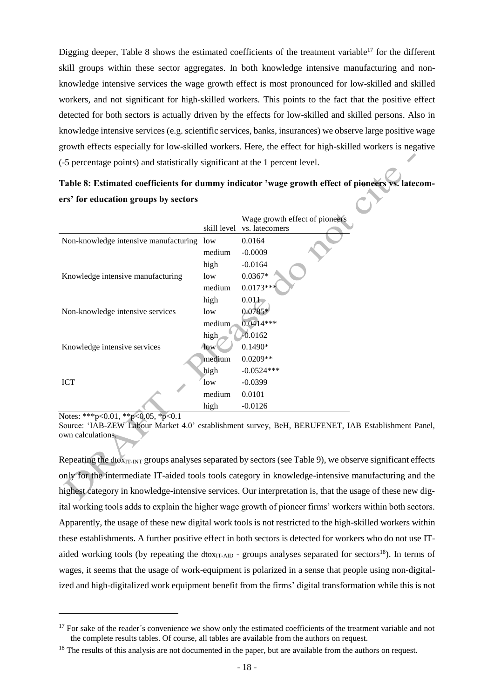Digging deeper, Table 8 shows the estimated coefficients of the treatment variable<sup>17</sup> for the different skill groups within these sector aggregates. In both knowledge intensive manufacturing and nonknowledge intensive services the wage growth effect is most pronounced for low-skilled and skilled workers, and not significant for high-skilled workers. This points to the fact that the positive effect detected for both sectors is actually driven by the effects for low-skilled and skilled persons. Also in knowledge intensive services (e.g. scientific services, banks, insurances) we observe large positive wage growth effects especially for low-skilled workers. Here, the effect for high-skilled workers is negative (-5 percentage points) and statistically significant at the 1 percent level.

# **Table 8: Estimated coefficients for dummy indicator 'wage growth effect of pioneers vs. latecomers' for education groups by sectors**

|                                       | skill level | Wage growth effect of pioneers<br>vs. latecomers |
|---------------------------------------|-------------|--------------------------------------------------|
| Non-knowledge intensive manufacturing | low         | 0.0164                                           |
|                                       | medium      | $-0.0009$                                        |
|                                       | high        | $-0.0164$                                        |
| Knowledge intensive manufacturing     | low         | $0.0367*$                                        |
|                                       | medium      | $0.0173***$                                      |
|                                       | high        | 0.011                                            |
| Non-knowledge intensive services      | low         | $0.0785*$                                        |
|                                       | medium      | $0.0414***$                                      |
|                                       | high        | $-0.0162$                                        |
| Knowledge intensive services          | <b>low</b>  | $0.1490*$                                        |
|                                       | medium      | $0.0209**$                                       |
|                                       | high        | $-0.0524***$                                     |
| <b>ICT</b>                            | low         | $-0.0399$                                        |
|                                       | medium      | 0.0101                                           |
|                                       | high        | $-0.0126$                                        |

Notes: \*\*\*p<0.01, \*\*p<0.05, \*p<0.1

l

Source: 'IAB-ZEW Labour Market 4.0' establishment survey, BeH, BERUFENET, IAB Establishment Panel, own calculations.

Repeating the dtox<sub>IT-INT</sub> groups analyses separated by sectors (see Table 9), we observe significant effects only for the intermediate IT-aided tools tools category in knowledge-intensive manufacturing and the highest category in knowledge-intensive services. Our interpretation is, that the usage of these new digital working tools adds to explain the higher wage growth of pioneer firms' workers within both sectors. Apparently, the usage of these new digital work tools is not restricted to the high-skilled workers within these establishments. A further positive effect in both sectors is detected for workers who do not use ITaided working tools (by repeating the dtox $_{IT-AD}$  - groups analyses separated for sectors<sup>18</sup>). In terms of wages, it seems that the usage of work-equipment is polarized in a sense that people using non-digitalized and high-digitalized work equipment benefit from the firms' digital transformation while this is not

 $17$  For sake of the reader's convenience we show only the estimated coefficients of the treatment variable and not the complete results tables. Of course, all tables are available from the authors on request.

<sup>&</sup>lt;sup>18</sup> The results of this analysis are not documented in the paper, but are available from the authors on request.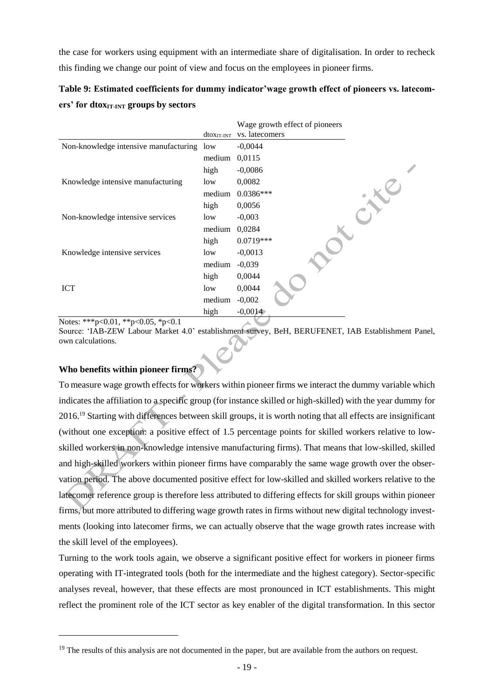the case for workers using equipment with an intermediate share of digitalisation. In order to recheck this finding we change our point of view and focus on the employees in pioneer firms.

**Table 9: Estimated coefficients for dummy indicator'wage growth effect of pioneers vs. latecomers' for dtoxIT-INT groups by sectors**

|                                       |                        | Wage growth effect of pioneers |
|---------------------------------------|------------------------|--------------------------------|
|                                       | dtox <sub>IT-INT</sub> | vs. latecomers                 |
| Non-knowledge intensive manufacturing | low                    | $-0,0044$                      |
|                                       | medium                 | 0,0115                         |
|                                       | high                   | $-0,0086$                      |
| Knowledge intensive manufacturing     | low                    | 0,0082                         |
|                                       | medium                 | $0.0386***$                    |
|                                       | high                   | 0,0056                         |
| Non-knowledge intensive services      | low                    | $-0,003$                       |
|                                       | medium                 | 0,0284                         |
|                                       | high                   | 0.0719***                      |
| Knowledge intensive services          | low                    | $-0,0013$                      |
|                                       | medium                 | $-0,039$                       |
|                                       | high                   | 0,0044                         |
| <b>ICT</b>                            | low                    | 0,0044                         |
|                                       | medium                 | $-0,002$                       |
|                                       | high                   | $-0,0014$                      |

Notes: \*\*\*p<0.01, \*\*p<0.05, \*p<0.1

Source: 'IAB-ZEW Labour Market 4.0' establishment survey, BeH, BERUFENET, IAB Establishment Panel, own calculations.

## **Who benefits within pioneer firms?**

 $\overline{a}$ 

To measure wage growth effects for workers within pioneer firms we interact the dummy variable which indicates the affiliation to a specific group (for instance skilled or high-skilled) with the year dummy for 2016.<sup>19</sup> Starting with differences between skill groups, it is worth noting that all effects are insignificant (without one exception: a positive effect of 1.5 percentage points for skilled workers relative to lowskilled workers in non-knowledge intensive manufacturing firms). That means that low-skilled, skilled and high-skilled workers within pioneer firms have comparably the same wage growth over the observation period. The above documented positive effect for low-skilled and skilled workers relative to the latecomer reference group is therefore less attributed to differing effects for skill groups within pioneer firms, but more attributed to differing wage growth rates in firms without new digital technology investments (looking into latecomer firms, we can actually observe that the wage growth rates increase with the skill level of the employees).

Turning to the work tools again, we observe a significant positive effect for workers in pioneer firms operating with IT-integrated tools (both for the intermediate and the highest category). Sector-specific analyses reveal, however, that these effects are most pronounced in ICT establishments. This might reflect the prominent role of the ICT sector as key enabler of the digital transformation. In this sector

<sup>&</sup>lt;sup>19</sup> The results of this analysis are not documented in the paper, but are available from the authors on request.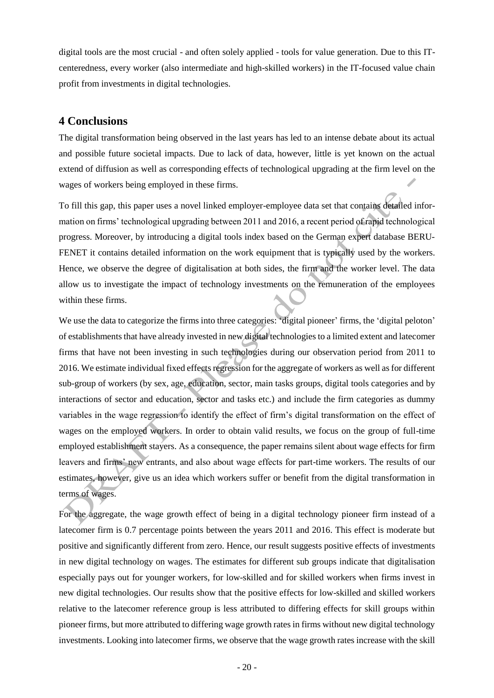digital tools are the most crucial - and often solely applied - tools for value generation. Due to this ITcenteredness, every worker (also intermediate and high-skilled workers) in the IT-focused value chain profit from investments in digital technologies.

# **4 Conclusions**

The digital transformation being observed in the last years has led to an intense debate about its actual and possible future societal impacts. Due to lack of data, however, little is yet known on the actual extend of diffusion as well as corresponding effects of technological upgrading at the firm level on the wages of workers being employed in these firms.

To fill this gap, this paper uses a novel linked employer-employee data set that contains detailed information on firms' technological upgrading between 2011 and 2016, a recent period of rapid technological progress. Moreover, by introducing a digital tools index based on the German expert database BERU-FENET it contains detailed information on the work equipment that is typically used by the workers. Hence, we observe the degree of digitalisation at both sides, the firm and the worker level. The data allow us to investigate the impact of technology investments on the remuneration of the employees within these firms.

We use the data to categorize the firms into three categories: 'digital pioneer' firms, the 'digital peloton' of establishments that have already invested in new digital technologies to a limited extent and latecomer firms that have not been investing in such technologies during our observation period from 2011 to 2016. We estimate individual fixed effects regression for the aggregate of workers as well as for different sub-group of workers (by sex, age, education, sector, main tasks groups, digital tools categories and by interactions of sector and education, sector and tasks etc.) and include the firm categories as dummy variables in the wage regression to identify the effect of firm's digital transformation on the effect of wages on the employed workers. In order to obtain valid results, we focus on the group of full-time employed establishment stayers. As a consequence, the paper remains silent about wage effects for firm leavers and firms' new entrants, and also about wage effects for part-time workers. The results of our estimates, however, give us an idea which workers suffer or benefit from the digital transformation in terms of wages.

For the aggregate, the wage growth effect of being in a digital technology pioneer firm instead of a latecomer firm is 0.7 percentage points between the years 2011 and 2016. This effect is moderate but positive and significantly different from zero. Hence, our result suggests positive effects of investments in new digital technology on wages. The estimates for different sub groups indicate that digitalisation especially pays out for younger workers, for low-skilled and for skilled workers when firms invest in new digital technologies. Our results show that the positive effects for low-skilled and skilled workers relative to the latecomer reference group is less attributed to differing effects for skill groups within pioneer firms, but more attributed to differing wage growth rates in firms without new digital technology investments. Looking into latecomer firms, we observe that the wage growth rates increase with the skill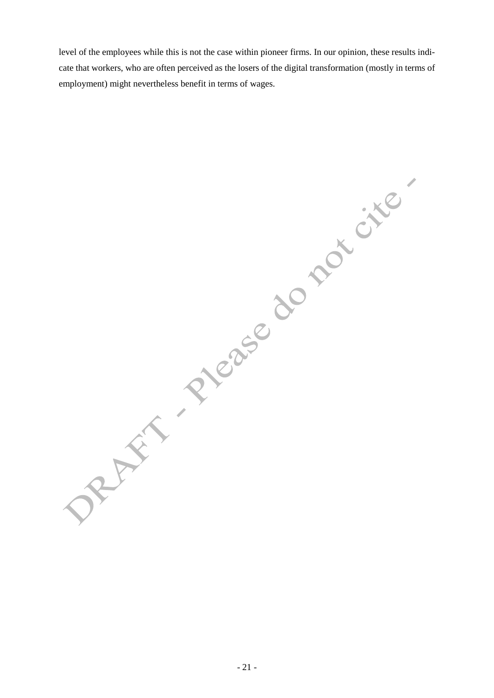level of the employees while this is not the case within pioneer firms. In our opinion, these results indicate that workers, who are often perceived as the losers of the digital transformation (mostly in terms of employment) might nevertheless benefit in terms of wages.

DRAFT Please do not cite.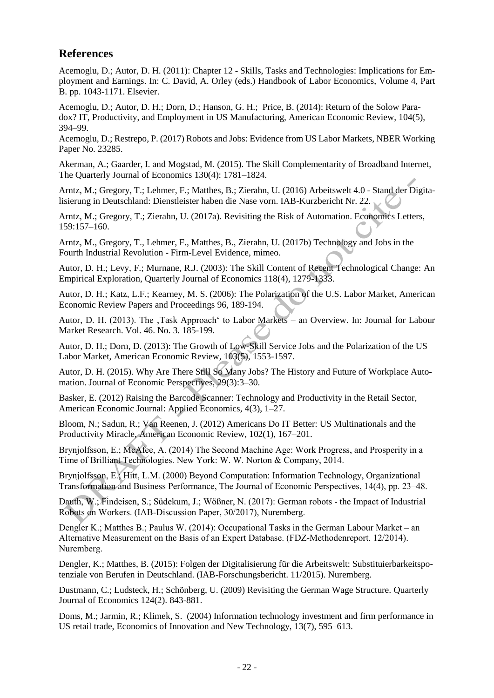# **References**

Acemoglu, D.; Autor, D. H. (2011): Chapter 12 - Skills, Tasks and Technologies: Implications for Employment and Earnings. In: C. David, A. Orley (eds.) Handbook of Labor Economics, Volume 4, Part B. pp. 1043-1171. Elsevier.

Acemoglu, D.; Autor, D. H.; Dorn, D.; Hanson, G. H.; Price, B. (2014): Return of the Solow Paradox? IT, Productivity, and Employment in US Manufacturing, American Economic Review, 104(5), 394–99.

Acemoglu, D.; Restrepo, P. (2017) Robots and Jobs: Evidence from US Labor Markets, NBER Working Paper No. 23285.

Akerman, A.; Gaarder, I. and Mogstad, M. (2015). The Skill Complementarity of Broadband Internet, The Quarterly Journal of Economics 130(4): 1781–1824.

Arntz, M.; Gregory, T.; Lehmer, F.; Matthes, B.; Zierahn, U. (2016) Arbeitswelt 4.0 - Stand der Digitalisierung in Deutschland: Dienstleister haben die Nase vorn. IAB-Kurzbericht Nr. 22.

Arntz, M.; Gregory, T.; Zierahn, U. (2017a). Revisiting the Risk of Automation. Economics Letters, 159:157–160.

Arntz, M., Gregory, T., Lehmer, F., Matthes, B., Zierahn, U. (2017b) Technology and Jobs in the Fourth Industrial Revolution - Firm-Level Evidence, mimeo.

Autor, D. H.; Levy, F.; Murnane, R.J. (2003): The Skill Content of Recent Technological Change: An Empirical Exploration, Quarterly Journal of Economics 118(4), 1279-1333.

Autor, D. H.; Katz, L.F.; Kearney, M. S. (2006): The Polarization of the U.S. Labor Market, American Economic Review Papers and Proceedings 96, 189-194.

Autor, D. H. (2013). The ,Task Approach' to Labor Markets – an Overview. In: Journal for Labour Market Research. Vol. 46. No. 3. 185-199.

Autor, D. H.; Dorn, D. (2013): The Growth of Low-Skill Service Jobs and the Polarization of the US Labor Market, American Economic Review, 103(5), 1553-1597.

Autor, D. H. (2015). Why Are There Still So Many Jobs? The History and Future of Workplace Automation. Journal of Economic Perspectives, 29(3):3–30.

Basker, E. (2012) Raising the Barcode Scanner: Technology and Productivity in the Retail Sector, American Economic Journal: Applied Economics, 4(3), 1–27.

Bloom, N.; Sadun, R.; Van Reenen, J. (2012) Americans Do IT Better: US Multinationals and the Productivity Miracle, American Economic Review, 102(1), 167–201.

Brynjolfsson, E.; McAfee, A. (2014) The Second Machine Age: Work Progress, and Prosperity in a Time of Brilliant Technologies. New York: W. W. Norton & Company, 2014.

Brynjolfsson, E., Hitt, L.M. (2000) Beyond Computation: Information Technology, Organizational Transformation and Business Performance, The Journal of Economic Perspectives, 14(4), pp. 23–48.

Dauth, W.; Findeisen, S.; Südekum, J.; Wößner, N. (2017): German robots - the Impact of Industrial Robots on Workers. (IAB-Discussion Paper, 30/2017), Nuremberg.

Dengler K.; Matthes B.; Paulus W. (2014): Occupational Tasks in the German Labour Market – an Alternative Measurement on the Basis of an Expert Database. (FDZ-Methodenreport. 12/2014). Nuremberg.

Dengler, K.; Matthes, B. (2015): Folgen der Digitalisierung für die Arbeitswelt: Substituierbarkeitspotenziale von Berufen in Deutschland. (IAB-Forschungsbericht. 11/2015). Nuremberg.

Dustmann, C.; Ludsteck, H.; Schönberg, U. (2009) Revisiting the German Wage Structure. Quarterly Journal of Economics 124(2). 843-881.

Doms, M.; Jarmin, R.; Klimek, S. (2004) Information technology investment and firm performance in US retail trade, Economics of Innovation and New Technology, 13(7), 595–613.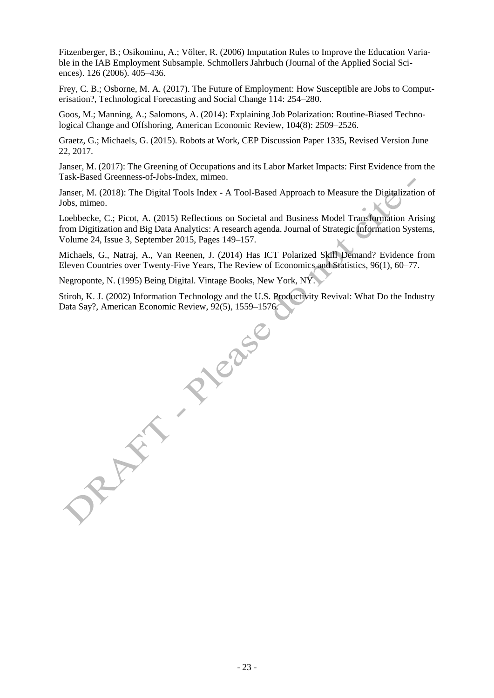Fitzenberger, B.; Osikominu, A.; Völter, R. (2006) Imputation Rules to Improve the Education Variable in the IAB Employment Subsample. Schmollers Jahrbuch (Journal of the Applied Social Sciences). 126 (2006). 405–436.

Frey, C. B.; Osborne, M. A. (2017). The Future of Employment: How Susceptible are Jobs to Computerisation?, Technological Forecasting and Social Change 114: 254–280.

Goos, M.; Manning, A.; Salomons, A. (2014): Explaining Job Polarization: Routine-Biased Technological Change and Offshoring, American Economic Review, 104(8): 2509–2526.

Graetz, G.; Michaels, G. (2015). Robots at Work, CEP Discussion Paper 1335, Revised Version June 22, 2017.

Janser, M. (2017): The Greening of Occupations and its Labor Market Impacts: First Evidence from the Task-Based Greenness-of-Jobs-Index, mimeo.

Janser, M. (2018): The Digital Tools Index - A Tool-Based Approach to Measure the Digitalization of Jobs, mimeo.

Loebbecke, C.; Picot, A. (2015) Reflections on Societal and Business Model Transformation Arising from Digitization and Big Data Analytics: A research agenda. Journal of Strategic Information Systems, [Volume 24, Issue 3,](http://www.sciencedirect.com/science/journal/09638687/24/3) September 2015, Pages 149–157.

Michaels, G., Natraj, A., Van Reenen, J. (2014) Has ICT Polarized Skill Demand? Evidence from Eleven Countries over Twenty-Five Years, The Review of Economics and Statistics, 96(1), 60–77.

Negroponte, N. (1995) Being Digital. Vintage Books, New York, NY.

Stiroh, K. J. (2002) Information Technology and the U.S. Productivity Revival: What Do the Industry Data Say?, American Economic Review, 92(5), 1559–1576.

PICase RAY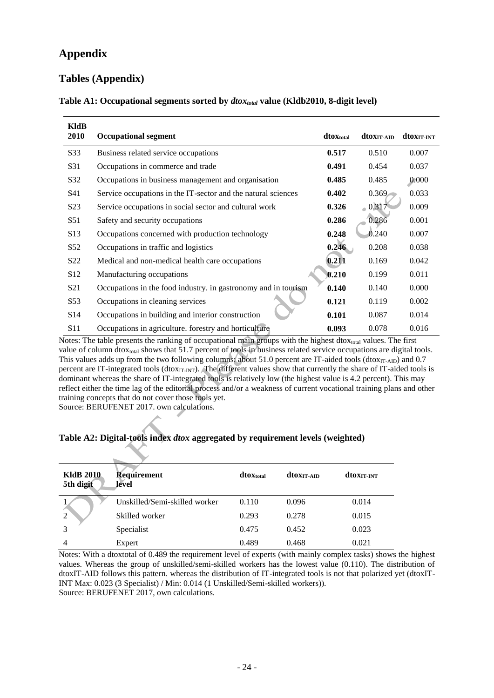# **Appendix**

# **Tables (Appendix)**

| KldB<br>2010     | <b>Occupational segment</b>                                    | dtoXtotal | dtoxit aid | <b>dtoxit int</b> |
|------------------|----------------------------------------------------------------|-----------|------------|-------------------|
| S33              | Business related service occupations                           | 0.517     | 0.510      | 0.007             |
| S31              | Occupations in commerce and trade                              | 0.491     | 0.454      | 0.037             |
| S32              | Occupations in business management and organisation            | 0.485     | 0.485      | 0.000             |
| S41              | Service occupations in the IT-sector and the natural sciences  | 0.402     | 0.369      | 0.033             |
| S <sub>2</sub> 3 | Service occupations in social sector and cultural work         | 0.326     | $-0.317$   | 0.009             |
| S51              | Safety and security occupations                                | 0.286     | 0.286      | 0.001             |
| S <sub>13</sub>  | Occupations concerned with production technology               | 0.248     | 0.240      | 0.007             |
| S <sub>52</sub>  | Occupations in traffic and logistics                           | 0.246     | 0.208      | 0.038             |
| S <sub>22</sub>  | Medical and non-medical health care occupations                | 0.211     | 0.169      | 0.042             |
| S <sub>12</sub>  | Manufacturing occupations                                      | 0.210     | 0.199      | 0.011             |
| S <sub>21</sub>  | Occupations in the food industry, in gastronomy and in tourism | 0.140     | 0.140      | 0.000             |
| S53              | Occupations in cleaning services                               | 0.121     | 0.119      | 0.002             |
| S <sub>14</sub>  | Occupations in building and interior construction              | 0.101     | 0.087      | 0.014             |
| S11              | Occupations in agriculture. forestry and horticulture          | 0.093     | 0.078      | 0.016             |

#### **Table A1: Occupational segments sorted by** *dtoxtotal* **value (Kldb2010, 8-digit level)**

Notes: The table presents the ranking of occupational main groups with the highest dto $x<sub>total</sub>$  values. The first value of column dtox<sub>total</sub> shows that 51.7 percent of tools in business related service occupations are digital tools. This values adds up from the two following columns: about 51.0 percent are IT-aided tools (dtox $_{IT-ADD}$ ) and 0.7 percent are IT-integrated tools ( $d$ tox $_{IT-INT}$ ). The different values show that currently the share of IT-aided tools is dominant whereas the share of IT-integrated tools is relatively low (the highest value is 4.2 percent). This may reflect either the time lag of the editorial process and/or a weakness of current vocational training plans and other training concepts that do not cover those tools yet.

Source: BERUFENET 2017. own calculations.

#### **Table A2: Digital-tools index** *dtox* **aggregated by requirement levels (weighted)**

| <b>KldB</b> 2010<br>5th digit | Requirement<br>level          | dtoXtotal | dtoxit aid | <b>dtoxit INT</b> |
|-------------------------------|-------------------------------|-----------|------------|-------------------|
|                               | Unskilled/Semi-skilled worker | 0.110     | 0.096      | 0.014             |
| $\overline{2}$                | Skilled worker                | 0.293     | 0.278      | 0.015             |
| 3                             | Specialist                    | 0.475     | 0.452      | 0.023             |
| 4                             | Expert                        | 0.489     | 0.468      | 0.021             |

Notes: With a dtoxtotal of 0.489 the requirement level of experts (with mainly complex tasks) shows the highest values. Whereas the group of unskilled/semi-skilled workers has the lowest value (0.110). The distribution of dtoxIT-AID follows this pattern. whereas the distribution of IT-integrated tools is not that polarized yet (dtoxIT-INT Max: 0.023 (3 Specialist) / Min: 0.014 (1 Unskilled/Semi-skilled workers)). Source: BERUFENET 2017, own calculations.

- 24 -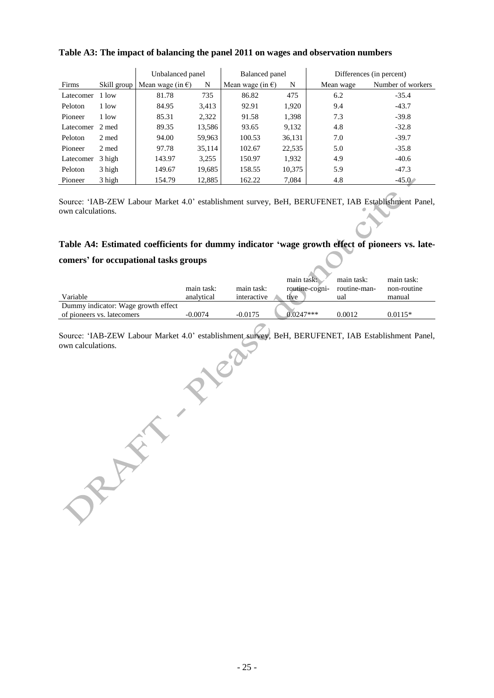|           |        | Unbalanced panel                         |        | Balanced panel             |        | Differences (in percent) |                   |  |
|-----------|--------|------------------------------------------|--------|----------------------------|--------|--------------------------|-------------------|--|
| Firms     |        | Skill group   Mean wage (in $\epsilon$ ) | N      | Mean wage (in $\epsilon$ ) | N      | Mean wage                | Number of workers |  |
| Latecomer | 1 low  | 81.78                                    | 735    | 86.82                      | 475    | 6.2                      | $-35.4$           |  |
| Peloton   | 1 low  | 84.95                                    | 3,413  | 92.91                      | 1,920  | 9.4                      | $-43.7$           |  |
| Pioneer   | 1 low  | 85.31                                    | 2,322  | 91.58                      | 1,398  | 7.3                      | $-39.8$           |  |
| Latecomer | 2 med  | 89.35                                    | 13,586 | 93.65                      | 9,132  | 4.8                      | $-32.8$           |  |
| Peloton   | 2 med  | 94.00                                    | 59,963 | 100.53                     | 36,131 | 7.0                      | $-39.7$           |  |
| Pioneer   | 2 med  | 97.78                                    | 35,114 | 102.67                     | 22,535 | 5.0                      | $-35.8$           |  |
| Latecomer | 3 high | 143.97                                   | 3,255  | 150.97                     | 1,932  | 4.9                      | $-40.6$           |  |
| Peloton   | 3 high | 149.67                                   | 19,685 | 158.55                     | 10,375 | 5.9                      | $-47.3$           |  |
| Pioneer   | 3 high | 154.79                                   | 12.885 | 162.22                     | 7,084  | 4.8                      | $-45.0$           |  |

## **Table A3: The impact of balancing the panel 2011 on wages and observation numbers**

Source: 'IAB-ZEW Labour Market 4.0' establishment survey, BeH, BERUFENET, IAB Establishment Panel, own calculations.

# **Table A4: Estimated coefficients for dummy indicator 'wage growth effect of pioneers vs. late-**

#### **comers' for occupational tasks groups**

|                                     |            |             | main task:     | main task:   | main task:  |
|-------------------------------------|------------|-------------|----------------|--------------|-------------|
|                                     | main task: | main task:  | routine-cogni- | routine-man- | non-routine |
| Variable                            | analytical | interactive | tive           | ual          | manual      |
| Dummy indicator: Wage growth effect |            |             |                |              |             |
| of pioneers vs. latecomers          | $-0.0074$  | $-0.0175$   | $0.0247***$    | 0.0012       | $0.0115*$   |

Source: 'IAB-ZEW Labour Market 4.0' establishment survey, BeH, BERUFENET, IAB Establishment Panel, own calculations.

JR AFT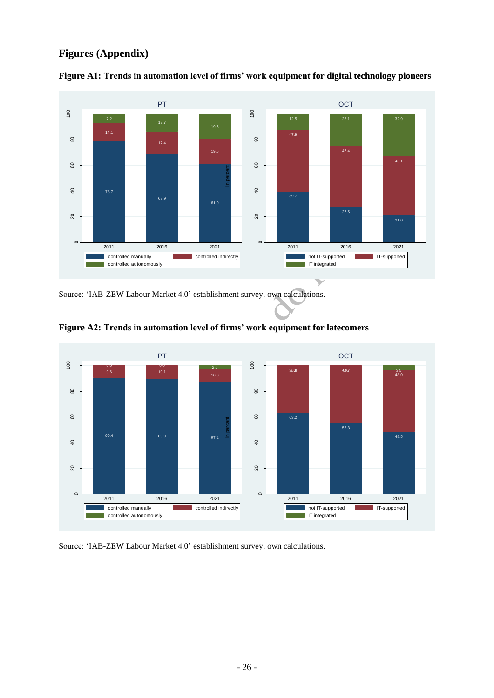# **Figures (Appendix)**



**Figure A1: Trends in automation level of firms' work equipment for digital technology pioneers**

Source: 'IAB-ZEW Labour Market 4.0' establishment survey, own calculations.



**Figure A2: Trends in automation level of firms' work equipment for latecomers**

Source: 'IAB-ZEW Labour Market 4.0' establishment survey, own calculations.